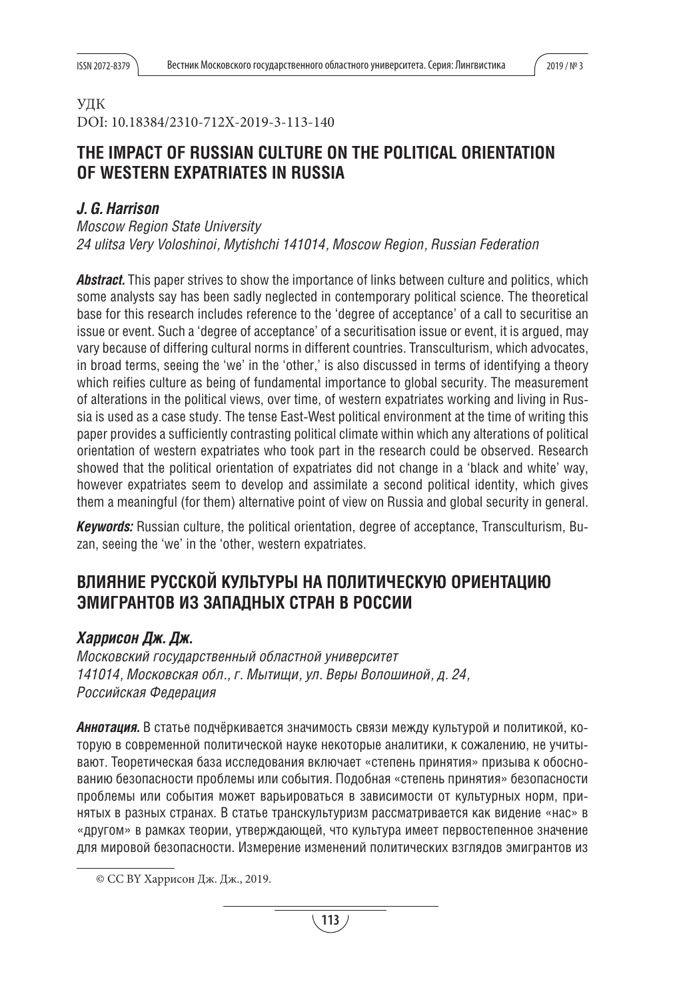# УДК

DOI: 10.18384/2310-712X-2019-3-113-140

# **THE IMPACT OF RUSSIAN CULTURE ON THE POLITICAL ORIENTATION OF WESTERN EXPATRIATES IN RUSSIA**

# *J. G. Harrison*

*Moscow Region State University 24 ulitsa Very Voloshinoi, Mytishchi 141014, Moscow Region, Russian Federation*

*Abstract.* This paper strives to show the importance of links between culture and politics, which some analysts say has been sadly neglected in contemporary political science. The theoretical base for this research includes reference to the 'degree of acceptance' of a call to securitise an issue or event. Such a 'degree of acceptance' of a securitisation issue or event, it is argued, may vary because of differing cultural norms in different countries. Transculturism, which advocates, in broad terms, seeing the 'we' in the 'other,' is also discussed in terms of identifying a theory which reifies culture as being of fundamental importance to global security. The measurement of alterations in the political views, over time, of western expatriates working and living in Russia is used as a case study. The tense East-West political environment at the time of writing this paper provides a sufficiently contrasting political climate within which any alterations of political orientation of western expatriates who took part in the research could be observed. Research showed that the political orientation of expatriates did not change in a 'black and white' way, however expatriates seem to develop and assimilate a second political identity, which gives them a meaningful (for them) alternative point of view on Russia and global security in general.

*Keywords:* Russian culture, the political orientation, degree of acceptance, Transculturism, Buzan, seeing the 'we' in the 'other, western expatriates.

# ВЛИЯНИЕ РУССКОЙ КУЛЬТУРЫ НА ПОЛИТИЧЕСКУЮ ОРИЕНТАЦИЮ **ЭМИГРАНТОВ ИЗ ЗАПАДНЫХ СТРАН В РОССИИ**

# *Харрисон Дж. Дж.*

Московский государственный областной университет *141014, Московская обл., г. Мытищи, ул. Веры Волошиной, д. 24, Российская Федерация*

*Аннотация.* В статье подчёркивается значимость связи между культурой и политикой, которую в современной политической науке некоторые аналитики, к сожалению, не учитывают. Теоретическая база исследования включает «степень принятия» призыва к обоснованию безопасности проблемы или события. Подобная «степень принятия» безопасности проблемы или события может варьироваться в зависимости от культурных норм, принятых в разных странах. В статье транскультуризм рассматривается как видение «нас» в «другом» в рамках теории, утверждающей, что культура имеет первостепенное значение для мировой безопасности. Измерение изменений политических взглядов эмигрантов из

<sup>©</sup> CC BY Харрисон Дж. Дж., 2019.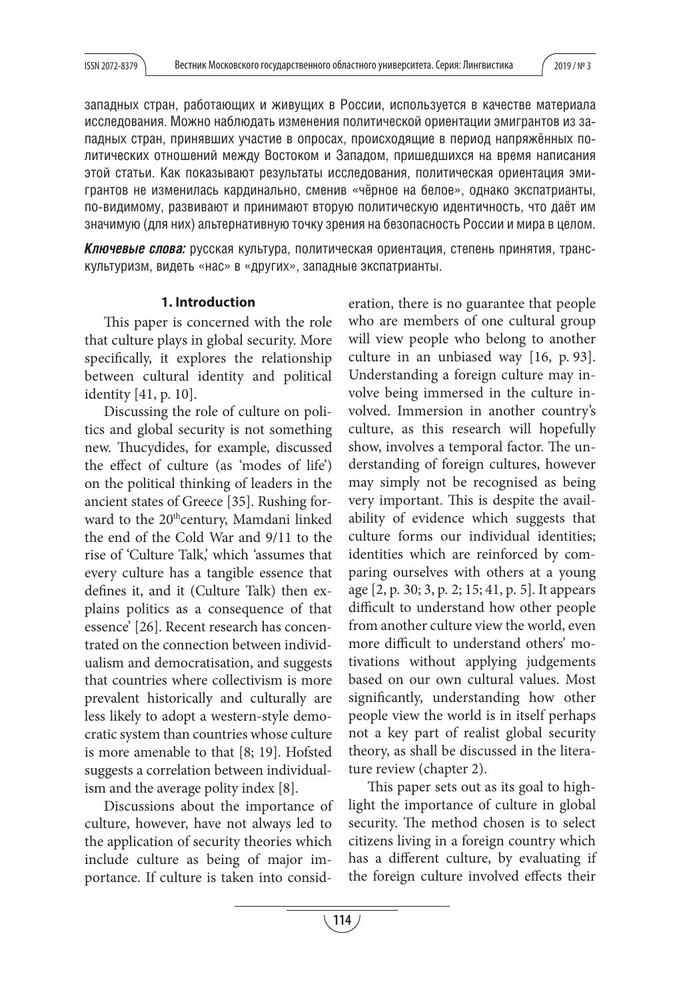западных стран, работающих и живущих в России, используется в качестве материала исследования. Можно наблюдать изменения политической ориентации эмигрантов из западных стран, принявших участие в опросах, происходящие в период напряжённых политических отношений между Востоком и Западом, пришедшихся на время написания этой статьи. Как показывают результаты исследования, политическая ориентация эмигрантов не изменилась кардинально, сменив «чёрное на белое», однако экспатрианты, по-видимому, развивают и принимают вторую политическую идентичность, что даёт им значимую (для них) альтернативную точку зрения на безопасность России и мира в целом.

*Ключевые слова:* русская культура, политическая ориентация, степень принятия, транскультуризм, видеть «нас» в «других», западные экспатрианты.

#### **1. Introduction**

This paper is concerned with the role that culture plays in global security. More specifically, it explores the relationship between cultural identity and political identity [41, p. 10].

Discussing the role of culture on politics and global security is not something new. Thucydides, for example, discussed the effect of culture (as 'modes of life') on the political thinking of leaders in the ancient states of Greece [35]. Rushing forward to the 20<sup>th</sup>century, Mamdani linked the end of the Cold War and 9/11 to the rise of 'Culture Talk,' which 'assumes that every culture has a tangible essence that defines it, and it (Culture Talk) then explains politics as a consequence of that essence' [26]. Recent research has concentrated on the connection between individualism and democratisation, and suggests that countries where collectivism is more prevalent historically and culturally are less likely to adopt a western-style democratic system than countries whose culture is more amenable to that [8; 19]. Hofsted suggests a correlation between individualism and the average polity index [8].

Discussions about the importance of culture, however, have not always led to the application of security theories which include culture as being of major importance. If culture is taken into consideration, there is no guarantee that people who are members of one cultural group will view people who belong to another culture in an unbiased way [16, p. 93]. Understanding a foreign culture may involve being immersed in the culture involved. Immersion in another country's culture, as this research will hopefully show, involves a temporal factor. The understanding of foreign cultures, however may simply not be recognised as being very important. This is despite the availability of evidence which suggests that culture forms our individual identities; identities which are reinforced by comparing ourselves with others at a young age [2, p. 30; 3, p. 2; 15; 41, p. 5]. It appears difficult to understand how other people from another culture view the world, even more difficult to understand others' motivations without applying judgements based on our own cultural values. Most significantly, understanding how other people view the world is in itself perhaps not a key part of realist global security theory, as shall be discussed in the literature review (chapter 2).

This paper sets out as its goal to highlight the importance of culture in global security. The method chosen is to select citizens living in a foreign country which has a different culture, by evaluating if the foreign culture involved effects their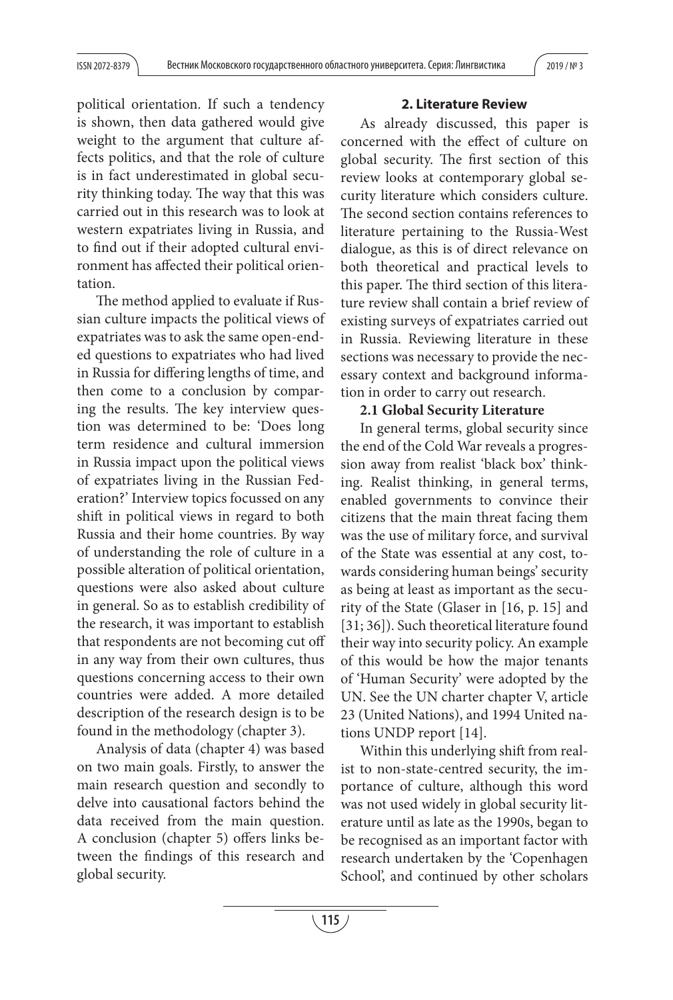political orientation. If such a tendency is shown, then data gathered would give weight to the argument that culture affects politics, and that the role of culture is in fact underestimated in global security thinking today. The way that this was carried out in this research was to look at western expatriates living in Russia, and to find out if their adopted cultural environment has affected their political orientation.

The method applied to evaluate if Russian culture impacts the political views of expatriates was to ask the same open-ended questions to expatriates who had lived in Russia for differing lengths of time, and then come to a conclusion by comparing the results. The key interview question was determined to be: 'Does long term residence and cultural immersion in Russia impact upon the political views of expatriates living in the Russian Federation?' Interview topics focussed on any shift in political views in regard to both Russia and their home countries. By way of understanding the role of culture in a possible alteration of political orientation, questions were also asked about culture in general. So as to establish credibility of the research, it was important to establish that respondents are not becoming cut off in any way from their own cultures, thus questions concerning access to their own countries were added. A more detailed description of the research design is to be found in the methodology (chapter 3).

Analysis of data (chapter 4) was based on two main goals. Firstly, to answer the main research question and secondly to delve into causational factors behind the data received from the main question. A conclusion (chapter 5) offers links between the findings of this research and global security.

### **2. Literature Review**

As already discussed, this paper is concerned with the effect of culture on global security. The first section of this review looks at contemporary global security literature which considers culture. The second section contains references to literature pertaining to the Russia-West dialogue, as this is of direct relevance on both theoretical and practical levels to this paper. The third section of this literature review shall contain a brief review of existing surveys of expatriates carried out in Russia. Reviewing literature in these sections was necessary to provide the necessary context and background information in order to carry out research.

### **2.1 Global Security Literature**

In general terms, global security since the end of the Cold War reveals a progression away from realist 'black box' thinking. Realist thinking, in general terms, enabled governments to convince their citizens that the main threat facing them was the use of military force, and survival of the State was essential at any cost, towards considering human beings' security as being at least as important as the security of the State (Glaser in [16, p. 15] and [31; 36]). Such theoretical literature found their way into security policy. An example of this would be how the major tenants of 'Human Security' were adopted by the UN. See the UN charter chapter V, article 23 (United Nations), and 1994 United nations UNDP report [14].

Within this underlying shift from realist to non-state-centred security, the importance of culture, although this word was not used widely in global security literature until as late as the 1990s, began to be recognised as an important factor with research undertaken by the 'Copenhagen School', and continued by other scholars

**115**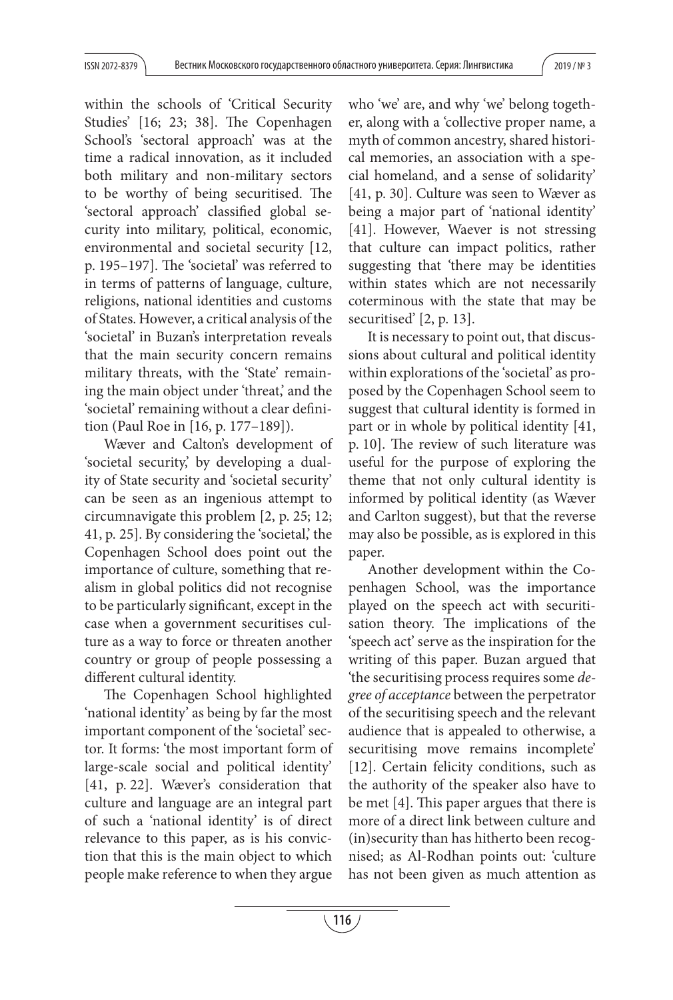within the schools of 'Critical Security Studies' [16; 23; 38]. The Copenhagen School's 'sectoral approach' was at the time a radical innovation, as it included both military and non-military sectors to be worthy of being securitised. The 'sectoral approach' classified global security into military, political, economic, environmental and societal security [12, p. 195–197. The 'societal' was referred to in terms of patterns of language, culture, religions, national identities and customs of States. However, a critical analysis of the 'societal' in Buzan's interpretation reveals that the main security concern remains military threats, with the 'State' remaining the main object under 'threat,' and the 'societal' remaining without a clear definition (Paul Roe in [16, p. 177–189]).

Wæver and Calton's development of 'societal security,' by developing a duality of State security and 'societal security' can be seen as an ingenious attempt to circumnavigate this problem [2, p. 25; 12; 41, p. 25]. By considering the 'societal,' the Copenhagen School does point out the importance of culture, something that realism in global politics did not recognise to be particularly significant, except in the case when a government securitises culture as a way to force or threaten another country or group of people possessing a different cultural identity.

The Copenhagen School highlighted 'national identity' as being by far the most important component of the 'societal' sector. It forms: 'the most important form of large-scale social and political identity' [41, p. 22]. Wæver's consideration that culture and language are an integral part of such a 'national identity' is of direct relevance to this paper, as is his conviction that this is the main object to which people make reference to when they argue

who 'we' are, and why 'we' belong together, along with a 'collective proper name, a myth of common ancestry, shared historical memories, an association with a special homeland, and a sense of solidarity' [41, p. 30]. Culture was seen to Wæver as being a major part of 'national identity' [41]. However, Waever is not stressing that culture can impact politics, rather suggesting that 'there may be identities within states which are not necessarily coterminous with the state that may be securitised' [2, p. 13].

It is necessary to point out, that discussions about cultural and political identity within explorations of the 'societal' as proposed by the Copenhagen School seem to suggest that cultural identity is formed in part or in whole by political identity [41, p. 10]. The review of such literature was useful for the purpose of exploring the theme that not only cultural identity is informed by political identity (as Wæver and Carlton suggest), but that the reverse may also be possible, as is explored in this paper.

Another development within the Copenhagen School, was the importance played on the speech act with securitisation theory. The implications of the 'speech act' serve as the inspiration for the writing of this paper. Buzan argued that 'the securitising process requires some degree of acceptance between the perpetrator of the securitising speech and the relevant audience that is appealed to otherwise, a securitising move remains incomplete' [12]. Certain felicity conditions, such as the authority of the speaker also have to be met [4]. This paper argues that there is more of a direct link between culture and (in)security than has hitherto been recognised; as Al-Rodhan points out: 'culture has not been given as much attention as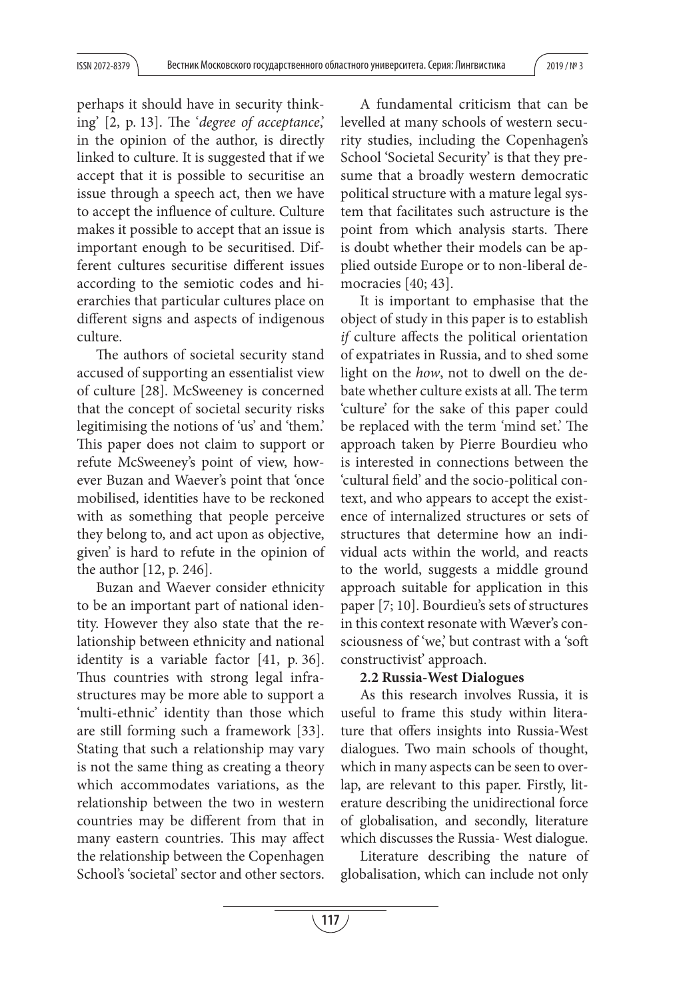perhaps it should have in security thinking'  $[2, p. 13]$ . The 'degree of acceptance', in the opinion of the author, is directly linked to culture. It is suggested that if we accept that it is possible to securitise an issue through a speech act, then we have to accept the influence of culture. Culture makes it possible to accept that an issue is important enough to be securitised. Different cultures securitise different issues according to the semiotic codes and hierarchies that particular cultures place on different signs and aspects of indigenous culture.

The authors of societal security stand accused of supporting an essentialist view of culture [28]. McSweeney is concerned that the concept of societal security risks legitimising the notions of 'us' and 'them.' This paper does not claim to support or refute McSweeney's point of view, however Buzan and Waever's point that 'once mobilised, identities have to be reckoned with as something that people perceive they belong to, and act upon as objective, given' is hard to refute in the opinion of the author [12, p. 246].

Buzan and Waever consider ethnicity to be an important part of national identity. However they also state that the relationship between ethnicity and national identity is a variable factor [41, p. 36]. Thus countries with strong legal infrastructures may be more able to support a 'multi-ethnic' identity than those which are still forming such a framework [33]. Stating that such a relationship may vary is not the same thing as creating a theory which accommodates variations, as the relationship between the two in western countries may be different from that in many eastern countries. This may affect the relationship between the Copenhagen School's 'societal' sector and other sectors.

A fundamental criticism that can be levelled at many schools of western security studies, including the Copenhagen's School 'Societal Security' is that they presume that a broadly western democratic political structure with a mature legal system that facilitates such astructure is the point from which analysis starts. There is doubt whether their models can be applied outside Europe or to non-liberal democracies [40; 43].

It is important to emphasise that the object of study in this paper is to establish *if* culture affects the political orientation of expatriates in Russia, and to shed some light on the how, not to dwell on the debate whether culture exists at all. The term 'culture' for the sake of this paper could be replaced with the term 'mind set.' The approach taken by Pierre Bourdieu who is interested in connections between the 'cultural field' and the socio-political context, and who appears to accept the existence of internalized structures or sets of structures that determine how an individual acts within the world, and reacts to the world, suggests a middle ground approach suitable for application in this paper [7; 10]. Bourdieu's sets of structures in this context resonate with Wæver's consciousness of 'we,' but contrast with a 'soft constructivist' approach.

## **2.2 Russia-West Dialogues**

As this research involves Russia, it is useful to frame this study within literature that offers insights into Russia-West dialogues. Two main schools of thought, which in many aspects can be seen to overlap, are relevant to this paper. Firstly, literature describing the unidirectional force of globalisation, and secondly, literature which discusses the Russia- West dialogue.

Literature describing the nature of globalisation, which can include not only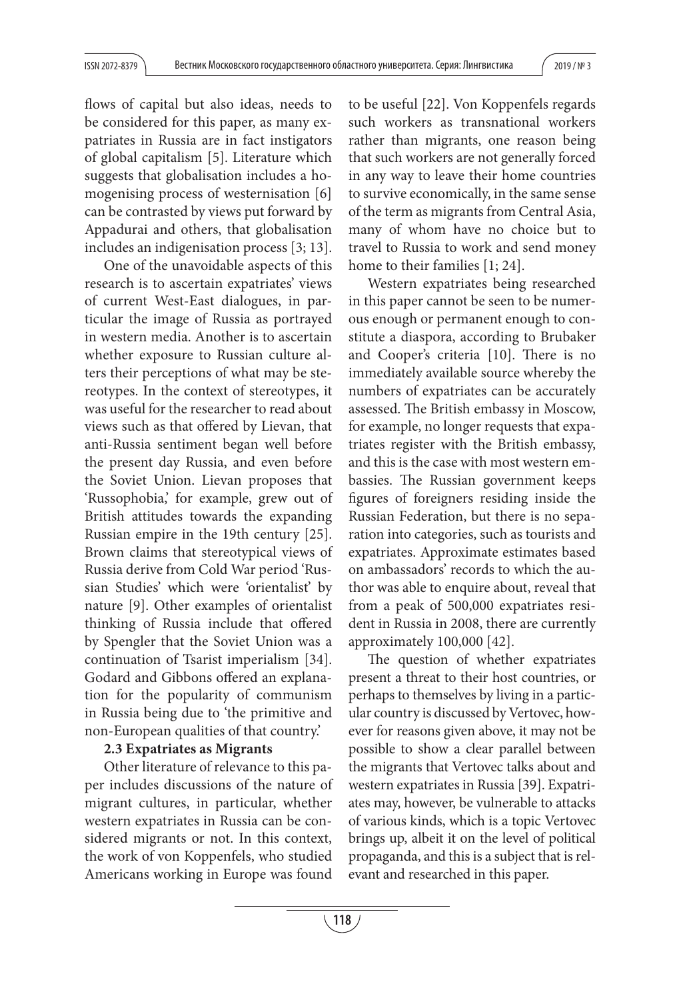flows of capital but also ideas, needs to be considered for this paper, as many expatriates in Russia are in fact instigators of global capitalism [5]. Literature which suggests that globalisation includes a homogenising process of westernisation [6] can be contrasted by views put forward by Appadurai and others, that globalisation includes an indigenisation process [3; 13].

One of the unavoidable aspects of this research is to ascertain expatriates' views of current West-East dialogues, in particular the image of Russia as portrayed in western media. Another is to ascertain whether exposure to Russian culture alters their perceptions of what may be stereotypes. In the context of stereotypes, it was useful for the researcher to read about views such as that offered by Lievan, that anti-Russia sentiment began well before the present day Russia, and even before the Soviet Union. Lievan proposes that 'Russophobia,' for example, grew out of British attitudes towards the expanding Russian empire in the 19th century [25]. Brown claims that stereotypical views of Russia derive from Cold War period 'Russian Studies' which were 'orientalist' by nature [9]. Other examples of orientalist thinking of Russia include that offered by Spengler that the Soviet Union was a continuation of Tsarist imperialism [34]. Godard and Gibbons offered an explanation for the popularity of communism in Russia being due to 'the primitive and non-European qualities of that country.'

## **2.3 Expatriates as Migrants**

Other literature of relevance to this paper includes discussions of the nature of migrant cultures, in particular, whether western expatriates in Russia can be considered migrants or not. In this context, the work of von Koppenfels, who studied Americans working in Europe was found

to be useful [22]. Von Koppenfels regards such workers as transnational workers rather than migrants, one reason being that such workers are not generally forced in any way to leave their home countries to survive economically, in the same sense of the term as migrants from Central Asia, many of whom have no choice but to travel to Russia to work and send money home to their families [1; 24].

Western expatriates being researched in this paper cannot be seen to be numerous enough or permanent enough to constitute a diaspora, according to Brubaker and Cooper's criteria [10]. There is no immediately available source whereby the numbers of expatriates can be accurately assessed. The British embassy in Moscow, for example, no longer requests that expatriates register with the British embassy, and this is the case with most western embassies. The Russian government keeps figures of foreigners residing inside the Russian Federation, but there is no separation into categories, such as tourists and expatriates. Approximate estimates based on ambassadors' records to which the author was able to enquire about, reveal that from a peak of 500,000 expatriates resident in Russia in 2008, there are currently approximately 100,000 [42].

The question of whether expatriates present a threat to their host countries, or perhaps to themselves by living in a particular country is discussed by Vertovec, however for reasons given above, it may not be possible to show a clear parallel between the migrants that Vertovec talks about and western expatriates in Russia [39]. Expatriates may, however, be vulnerable to attacks of various kinds, which is a topic Vertovec brings up, albeit it on the level of political propaganda, and this is a subject that is relevant and researched in this paper.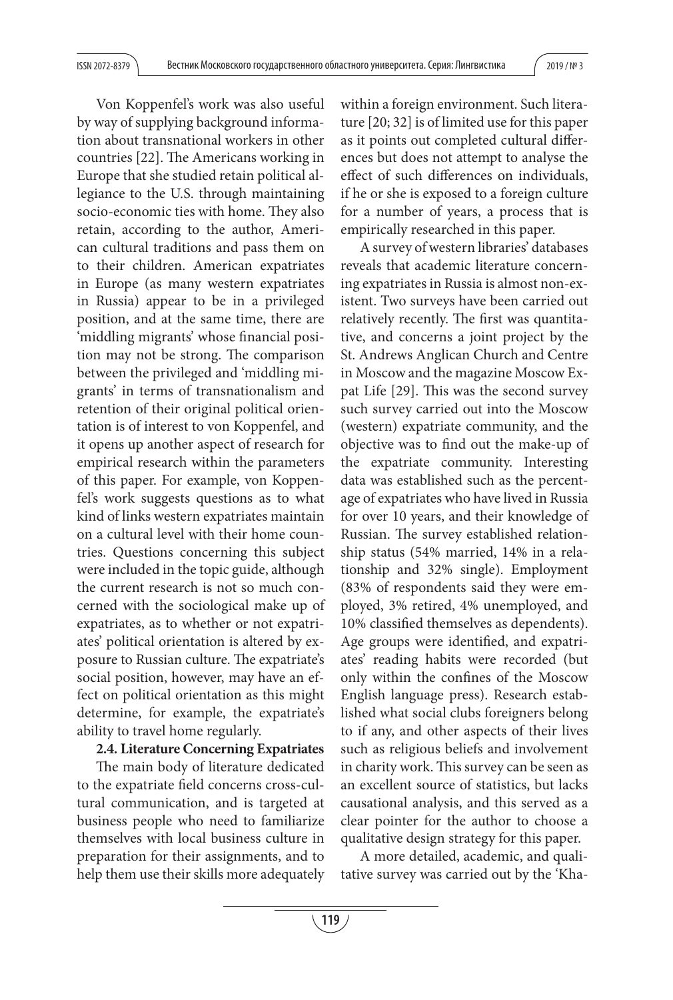Von Koppenfel's work was also useful by way of supplying background information about transnational workers in other countries [22]. The Americans working in Europe that she studied retain political allegiance to the U.S. through maintaining socio-economic ties with home. They also retain, according to the author, American cultural traditions and pass them on to their children. American expatriates in Europe (as many western expatriates in Russia) appear to be in a privileged position, and at the same time, there are 'middling migrants' whose financial position may not be strong. The comparison between the privileged and 'middling migrants' in terms of transnationalism and retention of their original political orientation is of interest to von Koppenfel, and it opens up another aspect of research for empirical research within the parameters of this paper. For example, von Koppenfel's work suggests questions as to what kind of links western expatriates maintain on a cultural level with their home countries. Questions concerning this subject were included in the topic guide, although the current research is not so much concerned with the sociological make up of expatriates, as to whether or not expatriates' political orientation is altered by exposure to Russian culture. The expatriate's social position, however, may have an effect on political orientation as this might determine, for example, the expatriate's ability to travel home regularly.

## **2.4. Literature Concerning Expatriates**

The main body of literature dedicated to the expatriate field concerns cross-cultural communication, and is targeted at business people who need to familiarize themselves with local business culture in preparation for their assignments, and to help them use their skills more adequately within a foreign environment. Such literature [20; 32] is of limited use for this paper as it points out completed cultural differences but does not attempt to analyse the effect of such differences on individuals, if he or she is exposed to a foreign culture for a number of years, a process that is empirically researched in this paper.

A survey of western libraries' databases reveals that academic literature concerning expatriates in Russia is almost non-existent. Two surveys have been carried out relatively recently. The first was quantitative, and concerns a joint project by the St. Andrews Anglican Church and Centre in Moscow and the magazine Moscow Expat Life [29]. This was the second survey such survey carried out into the Moscow (western) expatriate community, and the objective was to find out the make-up of the expatriate community. Interesting data was established such as the percentage of expatriates who have lived in Russia for over 10 years, and their knowledge of Russian. The survey established relationship status (54% married, 14% in a relationship and 32% single). Employment (83% of respondents said they were employed, 3% retired, 4% unemployed, and 10% classified themselves as dependents). Age groups were identified, and expatriates' reading habits were recorded (but only within the confines of the Moscow English language press). Research established what social clubs foreigners belong to if any, and other aspects of their lives such as religious beliefs and involvement in charity work. This survey can be seen as an excellent source of statistics, but lacks causational analysis, and this served as a clear pointer for the author to choose a qualitative design strategy for this paper.

A more detailed, academic, and qualitative survey was carried out by the 'Kha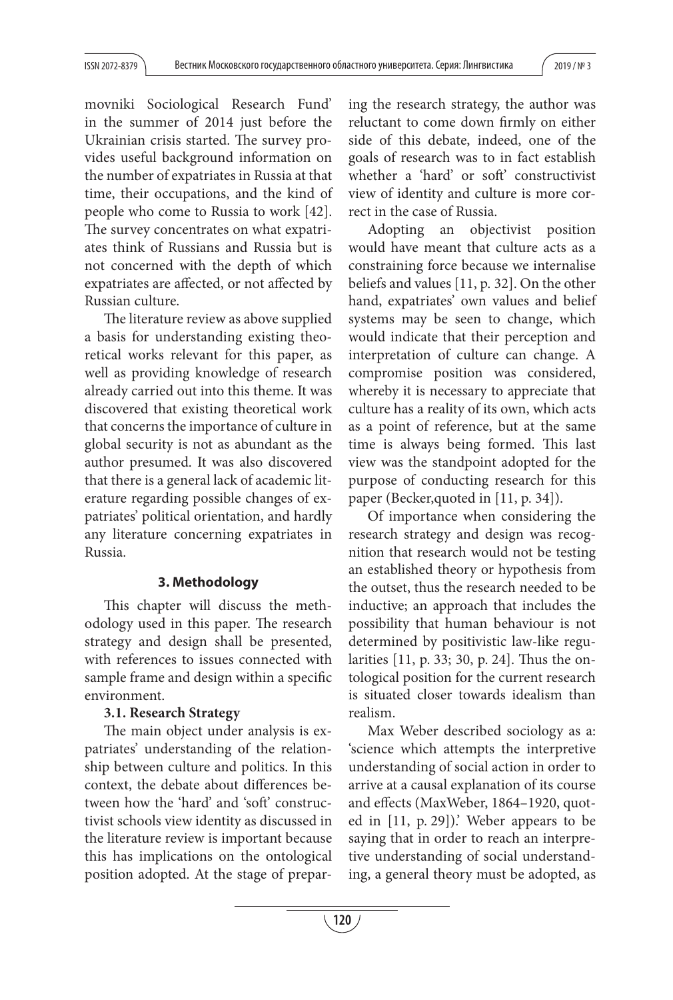movniki Sociological Research Fund' in the summer of 2014 just before the Ukrainian crisis started. The survey provides useful background information on the number of expatriates in Russia at that time, their occupations, and the kind of people who come to Russia to work [42]. The survey concentrates on what expatriates think of Russians and Russia but is not concerned with the depth of which expatriates are affected, or not affected by Russian culture.

The literature review as above supplied a basis for understanding existing theoretical works relevant for this paper, as well as providing knowledge of research already carried out into this theme. It was discovered that existing theoretical work that concerns the importance of culture in global security is not as abundant as the author presumed. It was also discovered that there is a general lack of academic literature regarding possible changes of expatriates' political orientation, and hardly any literature concerning expatriates in Russia.

## **3. Methodology**

This chapter will discuss the methodology used in this paper. The research strategy and design shall be presented, with references to issues connected with sample frame and design within a specific environment.

## **3.1. Research Strategy**

The main object under analysis is expatriates' understanding of the relationship between culture and politics. In this context, the debate about differences between how the 'hard' and 'soft' constructivist schools view identity as discussed in the literature review is important because this has implications on the ontological position adopted. At the stage of preparing the research strategy, the author was reluctant to come down firmly on either side of this debate, indeed, one of the goals of research was to in fact establish whether a 'hard' or soft' constructivist view of identity and culture is more correct in the case of Russia.

Adopting an objectivist position would have meant that culture acts as a constraining force because we internalise beliefs and values [11, p. 32]. On the other hand, expatriates' own values and belief systems may be seen to change, which would indicate that their perception and interpretation of culture can change. A compromise position was considered, whereby it is necessary to appreciate that culture has a reality of its own, which acts as a point of reference, but at the same time is always being formed. This last view was the standpoint adopted for the purpose of conducting research for this paper (Becker,quoted in [11, p. 34]).

Of importance when considering the research strategy and design was recognition that research would not be testing an established theory or hypothesis from the outset, thus the research needed to be inductive; an approach that includes the possibility that human behaviour is not determined by positivistic law-like regularities [11, p. 33; 30, p. 24]. Thus the ontological position for the current research is situated closer towards idealism than realism.

Max Weber described sociology as a: 'science which attempts the interpretive understanding of social action in order to arrive at a causal explanation of its course and effects (MaxWeber, 1864-1920, quoted in [11, p. 29]).' Weber appears to be saying that in order to reach an interpretive understanding of social understanding, a general theory must be adopted, as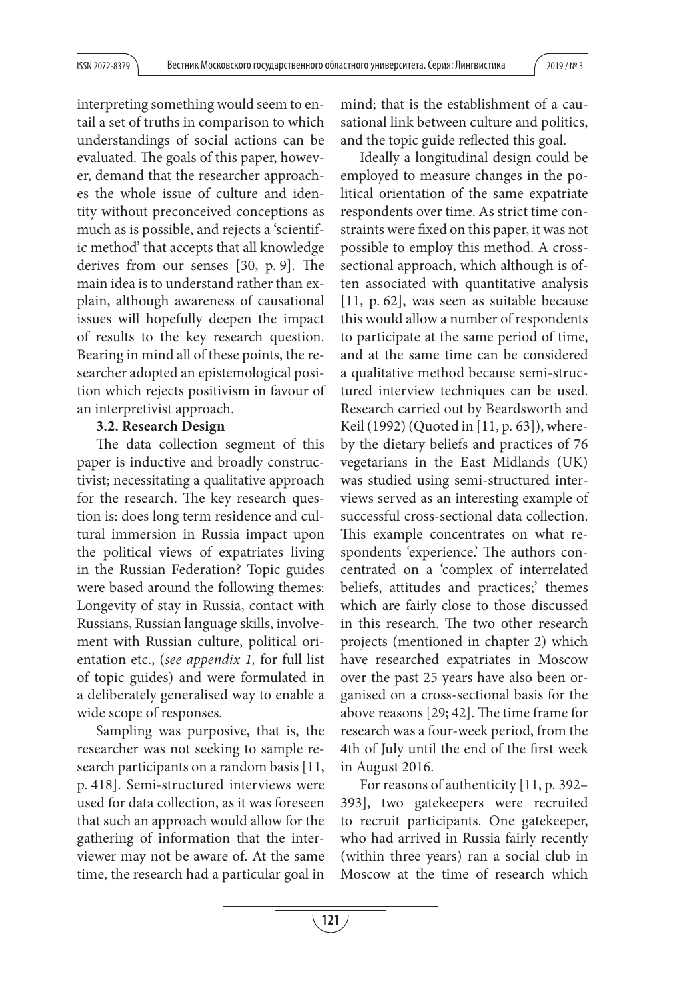interpreting something would seem to entail a set of truths in comparison to which understandings of social actions can be evaluated. The goals of this paper, however, demand that the researcher approaches the whole issue of culture and identity without preconceived conceptions as much as is possible, and rejects a 'scientific method' that accepts that all knowledge derives from our senses  $[30, p. 9]$ . The main idea is to understand rather than explain, although awareness of causational issues will hopefully deepen the impact of results to the key research question. Bearing in mind all of these points, the researcher adopted an epistemological position which rejects positivism in favour of an interpretivist approach.

# **3.2. Research Design**

The data collection segment of this paper is inductive and broadly constructivist; necessitating a qualitative approach for the research. The key research question is: does long term residence and cultural immersion in Russia impact upon the political views of expatriates living in the Russian Federation? Topic guides were based around the following themes: Longevity of stay in Russia, contact with Russians, Russian language skills, involvement with Russian culture, political orientation etc., (see appendix 1, for full list of topic guides) and were formulated in a deliberately generalised way to enable a wide scope of responses.

Sampling was purposive, that is, the researcher was not seeking to sample research participants on a random basis [11, p. 418]. Semi-structured interviews were used for data collection, as it was foreseen that such an approach would allow for the gathering of information that the interviewer may not be aware of. At the same time, the research had a particular goal in

mind; that is the establishment of a causational link between culture and politics, and the topic guide reflected this goal.

Ideally a longitudinal design could be employed to measure changes in the political orientation of the same expatriate respondents over time. As strict time constraints were fixed on this paper, it was not possible to employ this method. A crosssectional approach, which although is often associated with quantitative analysis [11, p. 62], was seen as suitable because this would allow a number of respondents to participate at the same period of time, and at the same time can be considered a qualitative method because semi-structured interview techniques can be used. Research carried out by Beardsworth and Keil (1992) (Quoted in [11, p. 63]), whereby the dietary beliefs and practices of 76 vegetarians in the East Midlands (UK) was studied using semi-structured interviews served as an interesting example of successful cross-sectional data collection. This example concentrates on what respondents 'experience'. The authors concentrated on a 'complex of interrelated beliefs, attitudes and practices;' themes which are fairly close to those discussed in this research. The two other research projects (mentioned in chapter 2) which have researched expatriates in Moscow over the past 25 years have also been organised on a cross-sectional basis for the above reasons  $[29; 42]$ . The time frame for research was a four-week period, from the 4th of July until the end of the first week in August 2016.

For reasons of authenticity [11, p. 392– 393], two gatekeepers were recruited to recruit participants. One gatekeeper, who had arrived in Russia fairly recently (within three years) ran a social club in Moscow at the time of research which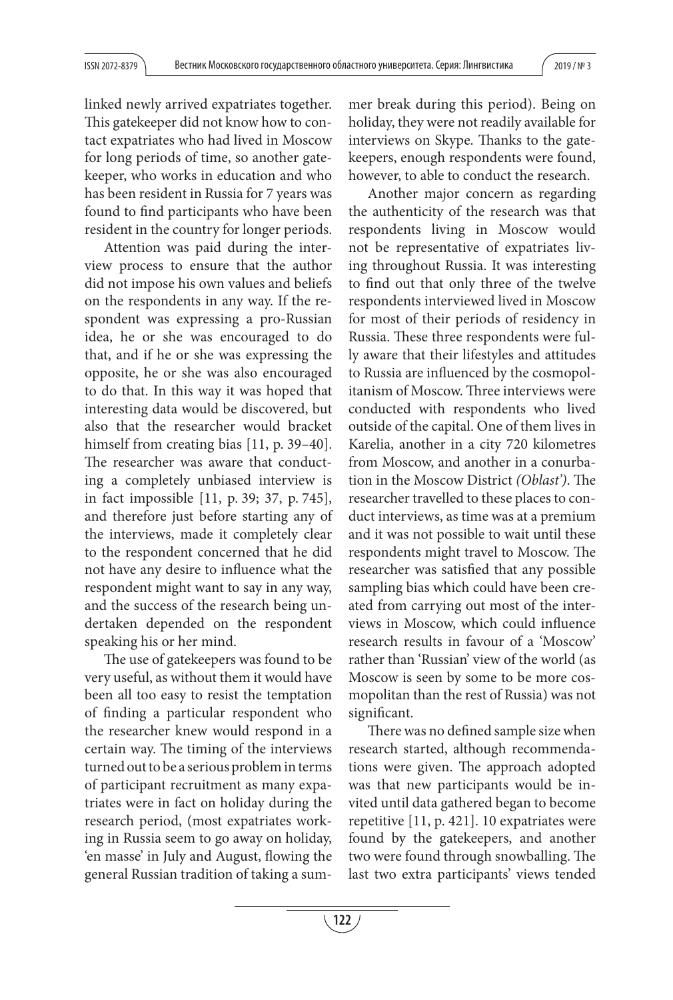linked newly arrived expatriates together. This gate keeper did not know how to contact expatriates who had lived in Moscow for long periods of time, so another gatekeeper, who works in education and who has been resident in Russia for 7 years was found to find participants who have been resident in the country for longer periods.

Attention was paid during the interview process to ensure that the author did not impose his own values and beliefs on the respondents in any way. If the respondent was expressing a pro-Russian idea, he or she was encouraged to do that, and if he or she was expressing the opposite, he or she was also encouraged to do that. In this way it was hoped that interesting data would be discovered, but also that the researcher would bracket himself from creating bias [11, p. 39–40]. The researcher was aware that conducting a completely unbiased interview is in fact impossible [11, p. 39; 37, p. 745], and therefore just before starting any of the interviews, made it completely clear to the respondent concerned that he did not have any desire to influence what the respondent might want to say in any way, and the success of the research being undertaken depended on the respondent speaking his or her mind.

The use of gatekeepers was found to be very useful, as without them it would have been all too easy to resist the temptation of finding a particular respondent who the researcher knew would respond in a certain way. The timing of the interviews turned out to be a serious problem in terms of participant recruitment as many expatriates were in fact on holiday during the research period, (most expatriates working in Russia seem to go away on holiday, 'en masse' in July and August, flowing the general Russian tradition of taking a summer break during this period). Being on holiday, they were not readily available for interviews on Skype. Thanks to the gatekeepers, enough respondents were found, however, to able to conduct the research.

Another major concern as regarding the authenticity of the research was that respondents living in Moscow would not be representative of expatriates living throughout Russia. It was interesting to find out that only three of the twelve respondents interviewed lived in Moscow for most of their periods of residency in Russia. These three respondents were fully aware that their lifestyles and attitudes to Russia are influenced by the cosmopolitanism of Moscow. Three interviews were conducted with respondents who lived outside of the capital. One of them lives in Karelia, another in a city 720 kilometres from Moscow, and another in a conurbation in the Moscow District (Oblast'). The researcher travelled to these places to conduct interviews, as time was at a premium and it was not possible to wait until these respondents might travel to Moscow. The researcher was satisfied that any possible sampling bias which could have been created from carrying out most of the interviews in Moscow, which could influence research results in favour of a 'Moscow' rather than 'Russian' view of the world (as Moscow is seen by some to be more cosmopolitan than the rest of Russia) was not significant.

There was no defined sample size when research started, although recommendations were given. The approach adopted was that new participants would be invited until data gathered began to become repetitive [11, p. 421]. 10 expatriates were found by the gatekeepers, and another two were found through snowballing. The last two extra participants' views tended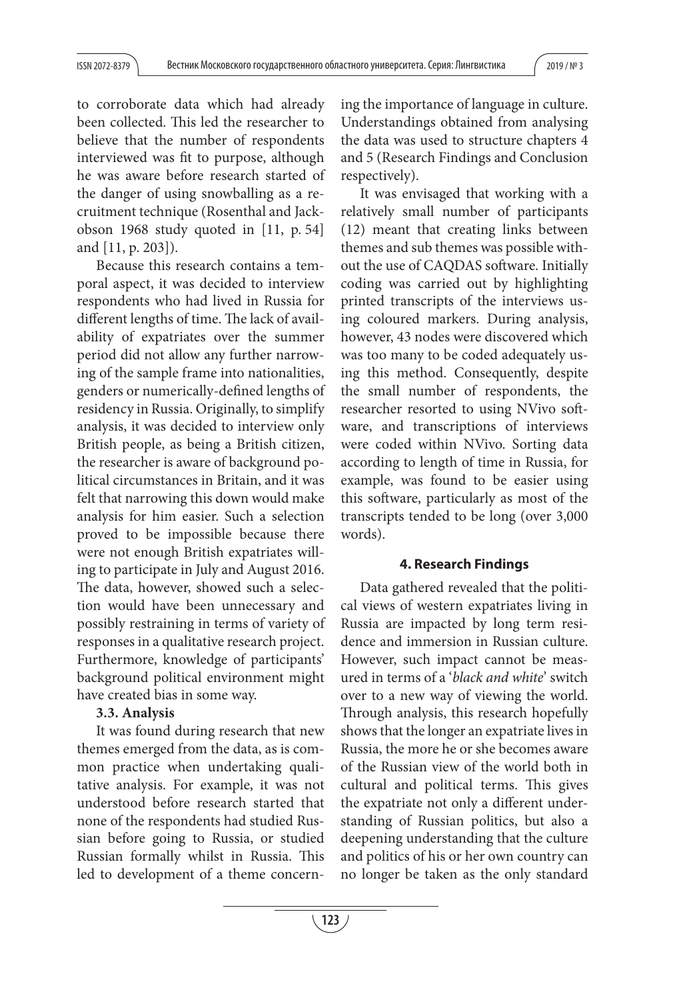to corroborate data which had already been collected. This led the researcher to believe that the number of respondents interviewed was fit to purpose, although he was aware before research started of the danger of using snowballing as a recruitment technique (Rosenthal and Jackobson 1968 study quoted in [11, p. 54] and [11, p. 203]).

Because this research contains a temporal aspect, it was decided to interview respondents who had lived in Russia for different lengths of time. The lack of availability of expatriates over the summer period did not allow any further narrowing of the sample frame into nationalities, genders or numerically-defined lengths of residency in Russia. Originally, to simplify analysis, it was decided to interview only British people, as being a British citizen, the researcher is aware of background political circumstances in Britain, and it was felt that narrowing this down would make analysis for him easier. Such a selection proved to be impossible because there were not enough British expatriates willing to participate in July and August 2016. The data, however, showed such a selection would have been unnecessary and possibly restraining in terms of variety of responses in a qualitative research project. Furthermore, knowledge of participants' background political environment might have created bias in some way.

## **3.3. Analysis**

It was found during research that new themes emerged from the data, as is common practice when undertaking qualitative analysis. For example, it was not understood before research started that none of the respondents had studied Russian before going to Russia, or studied Russian formally whilst in Russia. This led to development of a theme concerning the importance of language in culture. Understandings obtained from analysing the data was used to structure chapters 4 and 5 (Research Findings and Conclusion respectively).

It was envisaged that working with a relatively small number of participants (12) meant that creating links between themes and sub themes was possible without the use of CAQDAS software. Initially coding was carried out by highlighting printed transcripts of the interviews using coloured markers. During analysis, however, 43 nodes were discovered which was too many to be coded adequately using this method. Consequently, despite the small number of respondents, the researcher resorted to using NVivo software, and transcriptions of interviews were coded within NVivo. Sorting data according to length of time in Russia, for example, was found to be easier using this software, particularly as most of the transcripts tended to be long (over 3,000 words).

## **4. Research Findings**

Data gathered revealed that the political views of western expatriates living in Russia are impacted by long term residence and immersion in Russian culture. However, such impact cannot be measured in terms of a 'black and white' switch over to a new way of viewing the world. Through analysis, this research hopefully shows that the longer an expatriate lives in Russia, the more he or she becomes aware of the Russian view of the world both in cultural and political terms. This gives the expatriate not only a different understanding of Russian politics, but also a deepening understanding that the culture and politics of his or her own country can no longer be taken as the only standard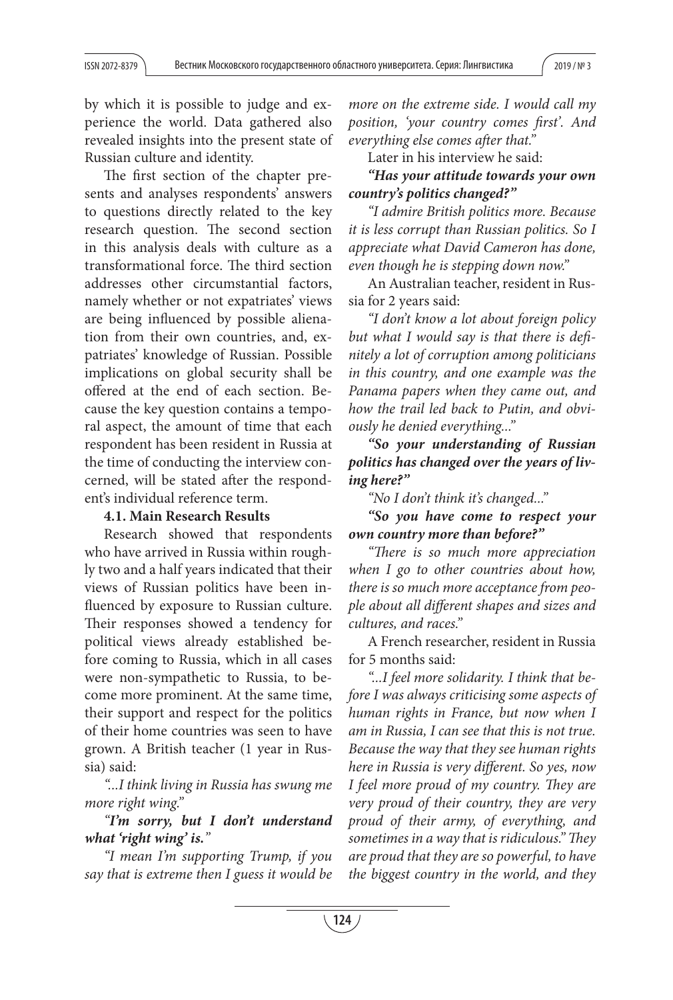by which it is possible to judge and experience the world. Data gathered also revealed insights into the present state of Russian culture and identity.

The first section of the chapter presents and analyses respondents' answers to questions directly related to the key research question. The second section in this analysis deals with culture as a transformational force. The third section addresses other circumstantial factors, namely whether or not expatriates' views are being influenced by possible alienation from their own countries, and, expatriates' knowledge of Russian. Possible implications on global security shall be offered at the end of each section. Because the key question contains a temporal aspect, the amount of time that each respondent has been resident in Russia at the time of conducting the interview concerned, will be stated after the respondent's individual reference term.

#### **4.1. Main Research Results**

Research showed that respondents who have arrived in Russia within roughly two and a half years indicated that their views of Russian politics have been influenced by exposure to Russian culture. Their responses showed a tendency for political views already established before coming to Russia, which in all cases were non-sympathetic to Russia, to become more prominent. At the same time, their support and respect for the politics of their home countries was seen to have grown. A British teacher (1 year in Russia) said:

"...I think living in Russia has swung me more right wing."

# "*I'm sorry, but I don't understand what 'right wing' is.*"

"I mean I'm supporting Trump, if you say that is extreme then I guess it would be more on the extreme side. I would call my position, 'your country comes first'. And everything else comes after that."

Later in his interview he said:

*"Has your attitude towards your own country's politics changed?"* 

"I admire British politics more. Because it is less corrupt than Russian politics. So I appreciate what David Cameron has done, even though he is stepping down now."

An Australian teacher, resident in Russia for 2 years said:

"I don't know a lot about foreign policy but what I would say is that there is definitely a lot of corruption among politicians in this country, and one example was the Panama papers when they came out, and how the trail led back to Putin, and obviously he denied everything..."

*"So your understanding of Russian politics has changed over the years of living here?"* 

"No I don't think it's changed..."

*"So you have come to respect your own country more than before?"*

"There is so much more appreciation when I go to other countries about how, there is so much more acceptance from people about all different shapes and sizes and cultures, and races."

A French researcher, resident in Russia for 5 months said:

"...I feel more solidarity. I think that before I was always criticising some aspects of human rights in France, but now when I am in Russia, I can see that this is not true. Because the way that they see human rights here in Russia is very different. So yes, now I feel more proud of my country. They are very proud of their country, they are very proud of their army, of everything, and sometimes in a way that is ridiculous." They are proud that they are so powerful, to have the biggest country in the world, and they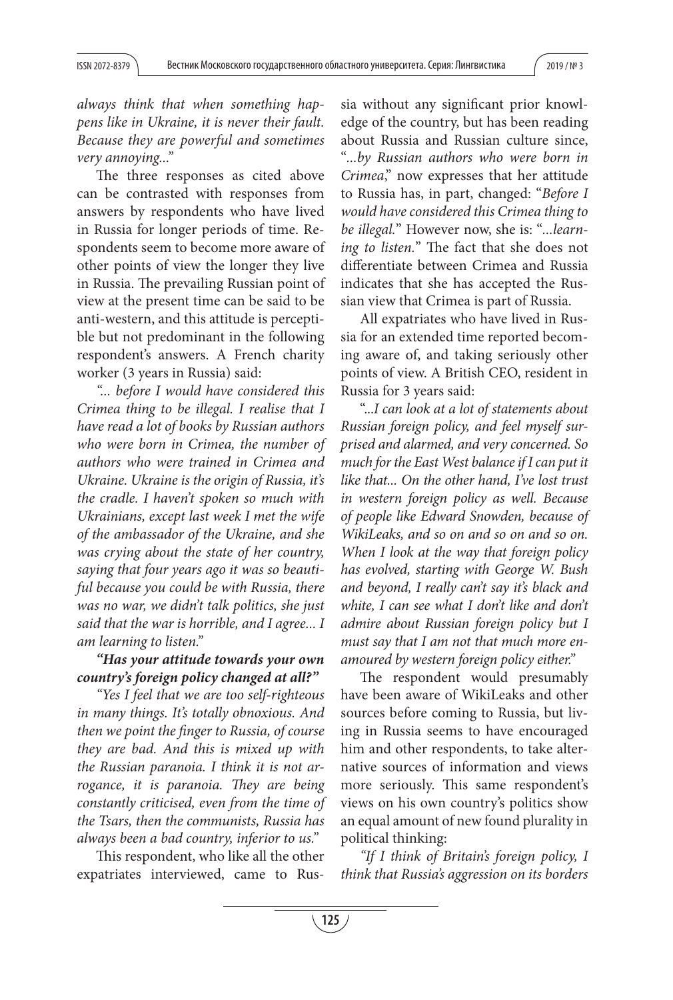always think that when something happens like in Ukraine, it is never their fault. Because they are powerful and sometimes very annoying..."

The three responses as cited above can be contrasted with responses from answers by respondents who have lived in Russia for longer periods of time. Respondents seem to become more aware of other points of view the longer they live in Russia. The prevailing Russian point of view at the present time can be said to be anti-western, and this attitude is perceptible but not predominant in the following respondent's answers. A French charity worker (3 years in Russia) said:

"... before I would have considered this Crimea thing to be illegal. I realise that I have read a lot of books by Russian authors who were born in Crimea, the number of authors who were trained in Crimea and Ukraine. Ukraine is the origin of Russia, it's the cradle. I haven't spoken so much with Ukrainians, except last week I met the wife of the ambassador of the Ukraine, and she was crying about the state of her country, saying that four years ago it was so beautiful because you could be with Russia, there was no war, we didn't talk politics, she just said that the war is horrible, and I agree... I am learning to listen."

# *"Has your attitude towards your own country's foreign policy changed at all?"*

"Yes I feel that we are too self-righteous in many things. It's totally obnoxious. And then we point the finger to Russia, of course they are bad. And this is mixed up with the Russian paranoia. I think it is not arrogance, it is paranoia. They are being constantly criticised, even from the time of the Tsars, then the communists, Russia has always been a bad country, inferior to us."

This respondent, who like all the other expatriates interviewed, came to Russia without any significant prior knowledge of the country, but has been reading about Russia and Russian culture since, "...by Russian authors who were born in Crimea," now expresses that her attitude to Russia has, in part, changed: "Before I would have considered this Crimea thing to be illegal." However now, she is: "...learning to listen." The fact that she does not differentiate between Crimea and Russia indicates that she has accepted the Russian view that Crimea is part of Russia.

All expatriates who have lived in Russia for an extended time reported becoming aware of, and taking seriously other points of view. A British CEO, resident in Russia for 3 years said:

"...I can look at a lot of statements about Russian foreign policy, and feel myself surprised and alarmed, and very concerned. So much for the East West balance if I can put it like that... On the other hand, I've lost trust in western foreign policy as well. Because of people like Edward Snowden, because of WikiLeaks, and so on and so on and so on. When I look at the way that foreign policy has evolved, starting with George W. Bush and beyond, I really can't say it's black and white, I can see what I don't like and don't admire about Russian foreign policy but I must say that I am not that much more enamoured by western foreign policy either."

The respondent would presumably have been aware of WikiLeaks and other sources before coming to Russia, but living in Russia seems to have encouraged him and other respondents, to take alternative sources of information and views more seriously. This same respondent's views on his own country's politics show an equal amount of new found plurality in political thinking:

"If I think of Britain's foreign policy, I think that Russia's aggression on its borders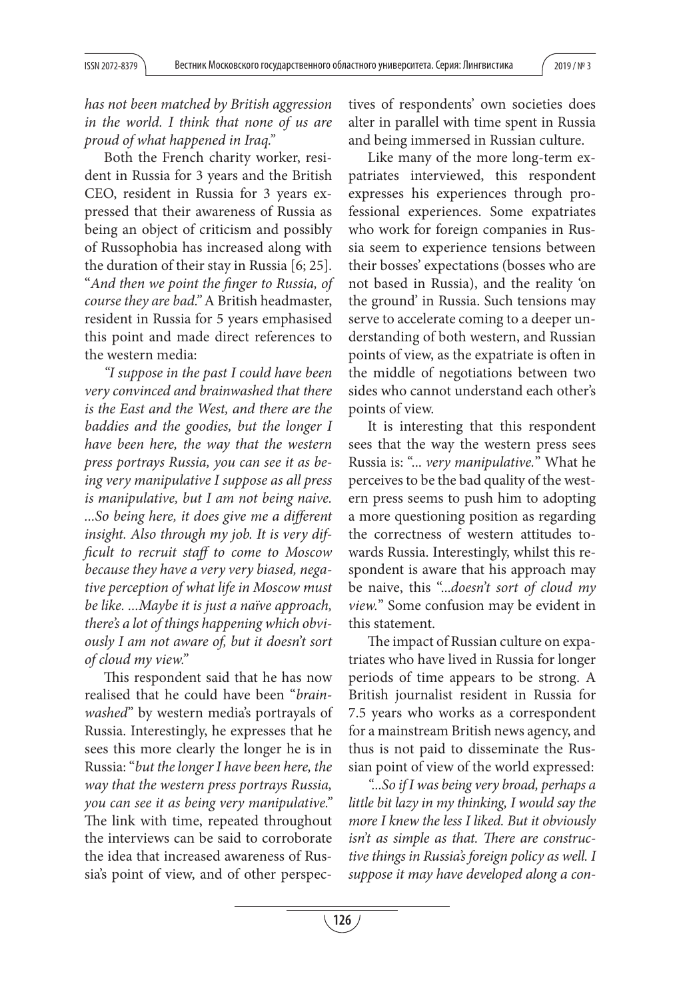has not been matched by British aggression in the world. I think that none of us are proud of what happened in Iraq."

Both the French charity worker, resident in Russia for 3 years and the British CEO, resident in Russia for 3 years expressed that their awareness of Russia as being an object of criticism and possibly of Russophobia has increased along with the duration of their stay in Russia [6; 25]. "And then we point the finger to Russia, of course they are bad." A British headmaster, resident in Russia for 5 years emphasised this point and made direct references to the western media:

"I suppose in the past I could have been very convinced and brainwashed that there is the East and the West, and there are the baddies and the goodies, but the longer I have been here, the way that the western press portrays Russia, you can see it as being very manipulative I suppose as all press is manipulative, but I am not being naive. ...So being here, it does give me a different insight. Also through my job. It is very difficult to recruit staff to come to Moscow because they have a very very biased, negative perception of what life in Moscow must be like. ...Maybe it is just a naïve approach, there's a lot of things happening which obviously I am not aware of, but it doesn't sort of cloud my view."

This respondent said that he has now realised that he could have been "brainwashed" by western media's portrayals of Russia. Interestingly, he expresses that he sees this more clearly the longer he is in Russia: "but the longer I have been here, the way that the western press portrays Russia, you can see it as being very manipulative." The link with time, repeated throughout the interviews can be said to corroborate the idea that increased awareness of Russia's point of view, and of other perspectives of respondents' own societies does alter in parallel with time spent in Russia and being immersed in Russian culture.

Like many of the more long-term expatriates interviewed, this respondent expresses his experiences through professional experiences. Some expatriates who work for foreign companies in Russia seem to experience tensions between their bosses' expectations (bosses who are not based in Russia), and the reality 'on the ground' in Russia. Such tensions may serve to accelerate coming to a deeper understanding of both western, and Russian points of view, as the expatriate is often in the middle of negotiations between two sides who cannot understand each other's points of view.

It is interesting that this respondent sees that the way the western press sees Russia is: "... very manipulative." What he perceives to be the bad quality of the western press seems to push him to adopting a more questioning position as regarding the correctness of western attitudes towards Russia. Interestingly, whilst this respondent is aware that his approach may be naive, this "...doesn't sort of cloud my view." Some confusion may be evident in this statement.

The impact of Russian culture on expatriates who have lived in Russia for longer periods of time appears to be strong. A British journalist resident in Russia for 7.5 years who works as a correspondent for a mainstream British news agency, and thus is not paid to disseminate the Russian point of view of the world expressed:

"...So if I was being very broad, perhaps a little bit lazy in my thinking, I would say the more I knew the less I liked. But it obviously isn't as simple as that. There are constructive things in Russia's foreign policy as well. I suppose it may have developed along a con-

**126**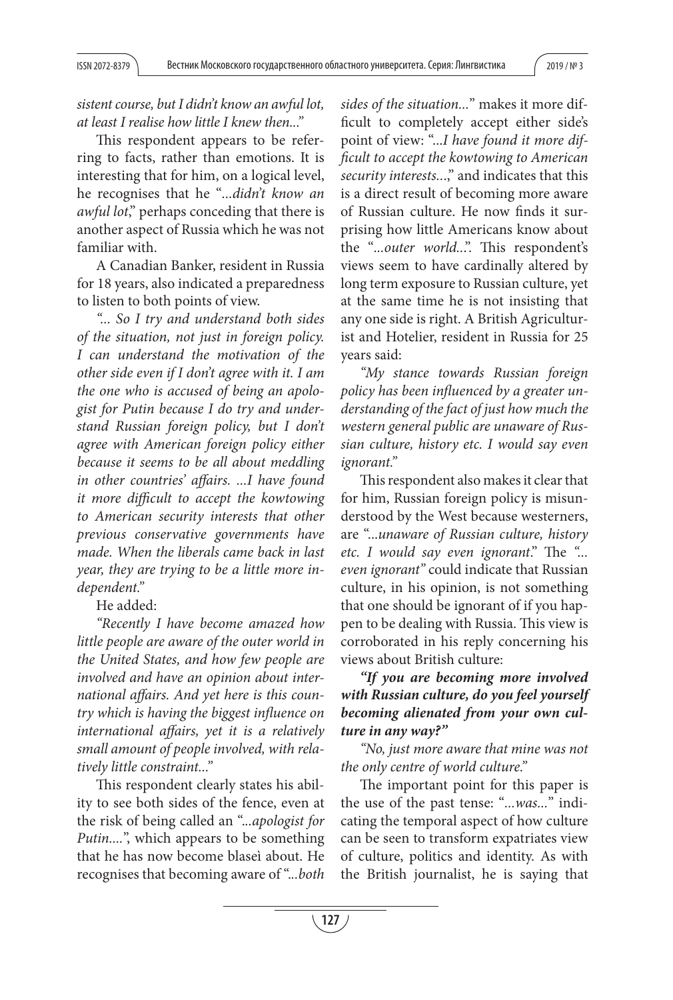sistent course, but I didn't know an awful lot, at least I realise how little I knew then..."

This respondent appears to be referring to facts, rather than emotions. It is interesting that for him, on a logical level, he recognises that he "...didn't know an awful lot," perhaps conceding that there is another aspect of Russia which he was not familiar with.

A Canadian Banker, resident in Russia for 18 years, also indicated a preparedness to listen to both points of view.

"... So I try and understand both sides of the situation, not just in foreign policy. I can understand the motivation of the other side even if I don't agree with it. I am the one who is accused of being an apologist for Putin because I do try and understand Russian foreign policy, but I don't agree with American foreign policy either because it seems to be all about meddling in other countries' affairs. ...I have found it more difficult to accept the kowtowing to American security interests that other previous conservative governments have made. When the liberals came back in last year, they are trying to be a little more independent."

# He added:

"Recently I have become amazed how little people are aware of the outer world in the United States, and how few people are involved and have an opinion about international affairs. And yet here is this country which is having the biggest influence on international affairs, yet it is a relatively small amount of people involved, with relatively little constraint..."

This respondent clearly states his ability to see both sides of the fence, even at the risk of being called an "...apologist for Putin....", which appears to be something that he has now become blaseì about. He recognises that becoming aware of "...both sides of the situation..." makes it more difficult to completely accept either side's point of view: "...I have found it more difficult to accept the kowtowing to American security interests...," and indicates that this is a direct result of becoming more aware of Russian culture. He now finds it surprising how little Americans know about the "...outer world...". This respondent's views seem to have cardinally altered by long term exposure to Russian culture, yet at the same time he is not insisting that any one side is right. A British Agriculturist and Hotelier, resident in Russia for 25 years said:

"My stance towards Russian foreign policy has been influenced by a greater understanding of the fact of just how much the western general public are unaware of Russian culture, history etc. I would say even ignorant."

This respondent also makes it clear that for him, Russian foreign policy is misunderstood by the West because westerners, are "...unaware of Russian culture, history etc. I would say even ignorant." The "... even ignorant" could indicate that Russian culture, in his opinion, is not something that one should be ignorant of if you happen to be dealing with Russia. This view is corroborated in his reply concerning his views about British culture:

# *"If you are becoming more involved with Russian culture, do you feel yourself becoming alienated from your own culture in any way?"*

"No, just more aware that mine was not the only centre of world culture."

The important point for this paper is the use of the past tense: "...was..." indicating the temporal aspect of how culture can be seen to transform expatriates view of culture, politics and identity. As with the British journalist, he is saying that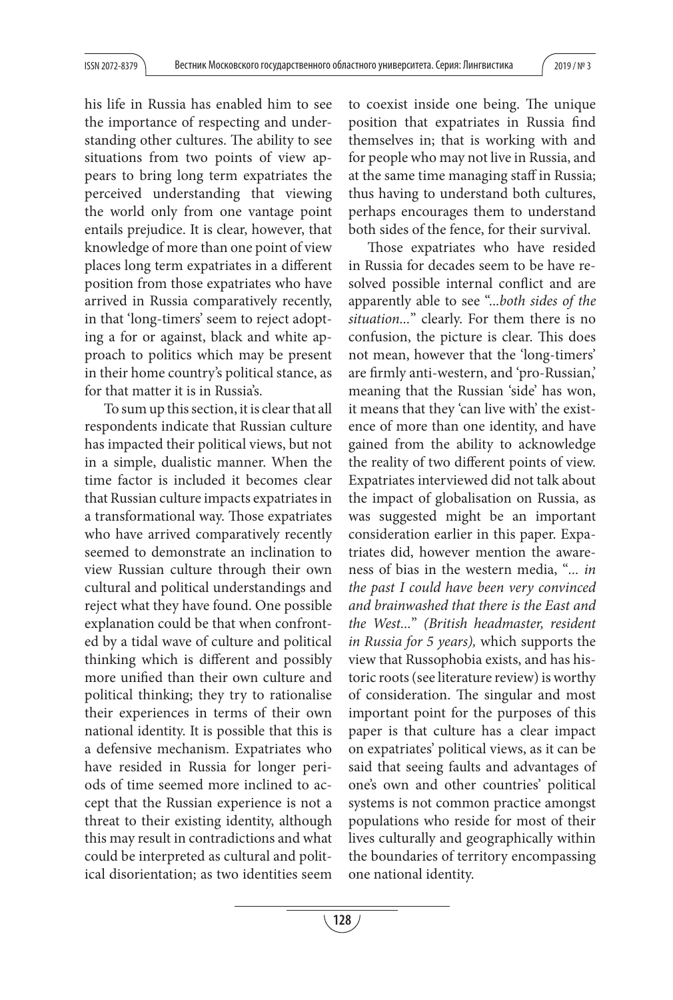his life in Russia has enabled him to see the importance of respecting and understanding other cultures. The ability to see situations from two points of view appears to bring long term expatriates the perceived understanding that viewing the world only from one vantage point entails prejudice. It is clear, however, that knowledge of more than one point of view places long term expatriates in a different position from those expatriates who have arrived in Russia comparatively recently, in that 'long-timers' seem to reject adopting a for or against, black and white approach to politics which may be present in their home country's political stance, as for that matter it is in Russia's.

To sum up this section, it is clear that all respondents indicate that Russian culture has impacted their political views, but not in a simple, dualistic manner. When the time factor is included it becomes clear that Russian culture impacts expatriates in a transformational way. Those expatriates who have arrived comparatively recently seemed to demonstrate an inclination to view Russian culture through their own cultural and political understandings and reject what they have found. One possible explanation could be that when confronted by a tidal wave of culture and political thinking which is different and possibly more unified than their own culture and political thinking; they try to rationalise their experiences in terms of their own national identity. It is possible that this is a defensive mechanism. Expatriates who have resided in Russia for longer periods of time seemed more inclined to accept that the Russian experience is not a threat to their existing identity, although this may result in contradictions and what could be interpreted as cultural and political disorientation; as two identities seem

to coexist inside one being. The unique position that expatriates in Russia find themselves in; that is working with and for people who may not live in Russia, and at the same time managing staff in Russia; thus having to understand both cultures, perhaps encourages them to understand both sides of the fence, for their survival.

Those expatriates who have resided in Russia for decades seem to be have resolved possible internal conflict and are apparently able to see "...both sides of the situation..." clearly. For them there is no confusion, the picture is clear. This does not mean, however that the 'long-timers' are firmly anti-western, and 'pro-Russian,' meaning that the Russian 'side' has won, it means that they 'can live with' the existence of more than one identity, and have gained from the ability to acknowledge the reality of two different points of view. Expatriates interviewed did not talk about the impact of globalisation on Russia, as was suggested might be an important consideration earlier in this paper. Expatriates did, however mention the awareness of bias in the western media, "... in the past I could have been very convinced and brainwashed that there is the East and the West..." (British headmaster, resident in Russia for 5 years), which supports the view that Russophobia exists, and has historic roots (see literature review) is worthy of consideration. The singular and most important point for the purposes of this paper is that culture has a clear impact on expatriates' political views, as it can be said that seeing faults and advantages of one's own and other countries' political systems is not common practice amongst populations who reside for most of their lives culturally and geographically within the boundaries of territory encompassing one national identity.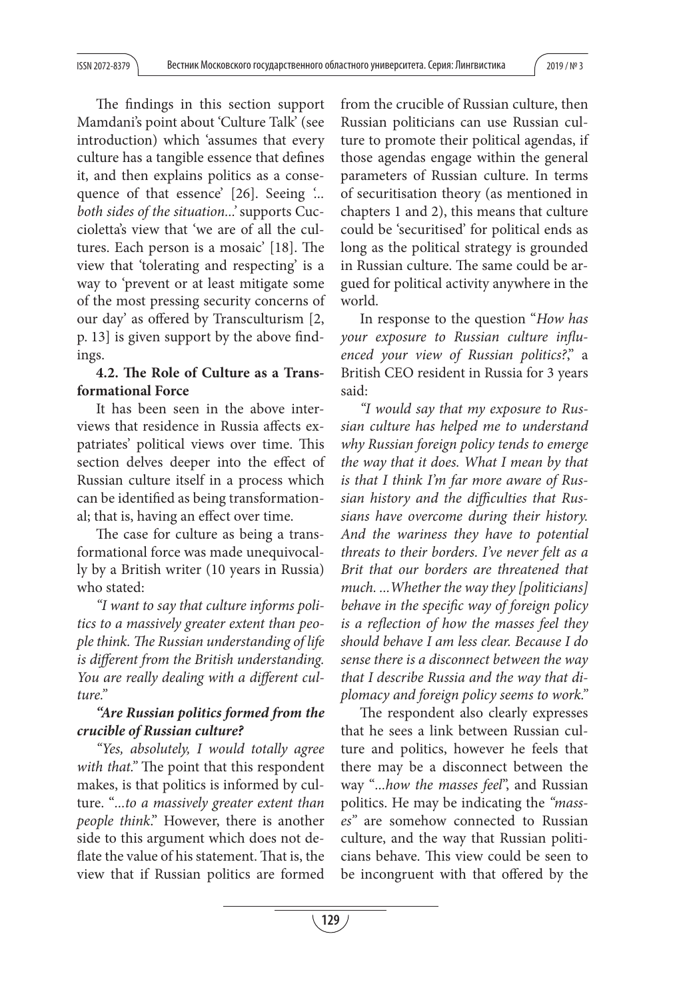The findings in this section support Mamdani's point about 'Culture Talk' (see introduction) which 'assumes that every culture has a tangible essence that defines it, and then explains politics as a consequence of that essence' [26]. Seeing  $\ldots$ both sides of the situation...' supports Cuccioletta's view that 'we are of all the cultures. Each person is a mosaic'  $[18]$ . The view that 'tolerating and respecting' is a way to 'prevent or at least mitigate some of the most pressing security concerns of our day' as offered by Transculturism [2, p. 13] is given support by the above findings.

# 4.2. The Role of Culture as a Trans**formational Force**

It has been seen in the above interviews that residence in Russia affects expatriates' political views over time. This section delves deeper into the effect of Russian culture itself in a process which can be identified as being transformational; that is, having an effect over time.

The case for culture as being a transformational force was made unequivocally by a British writer (10 years in Russia) who stated:

"I want to say that culture informs politics to a massively greater extent than people think. The Russian understanding of life is different from the British understanding. You are really dealing with a different culture."

# *"Are Russian politics formed from the crucible of Russian culture?*

"Yes, absolutely, I would totally agree with that." The point that this respondent makes, is that politics is informed by culture. "...to a massively greater extent than people think." However, there is another side to this argument which does not deflate the value of his statement. That is, the view that if Russian politics are formed

from the crucible of Russian culture, then Russian politicians can use Russian culture to promote their political agendas, if those agendas engage within the general parameters of Russian culture. In terms of securitisation theory (as mentioned in chapters 1 and 2), this means that culture could be 'securitised' for political ends as long as the political strategy is grounded in Russian culture. The same could be argued for political activity anywhere in the world.

In response to the question "How has your exposure to Russian culture influenced your view of Russian politics?," a British CEO resident in Russia for 3 years said:

"I would say that my exposure to Russian culture has helped me to understand why Russian foreign policy tends to emerge the way that it does. What I mean by that is that I think I'm far more aware of Russian history and the difficulties that Russians have overcome during their history. And the wariness they have to potential threats to their borders. I've never felt as a Brit that our borders are threatened that much. ...Whether the way they [politicians] behave in the specific way of foreign policy is a reflection of how the masses feel they should behave I am less clear. Because I do sense there is a disconnect between the way that I describe Russia and the way that diplomacy and foreign policy seems to work."

The respondent also clearly expresses that he sees a link between Russian culture and politics, however he feels that there may be a disconnect between the way "...how the masses feel", and Russian politics. He may be indicating the "masses" are somehow connected to Russian culture, and the way that Russian politicians behave. This view could be seen to be incongruent with that offered by the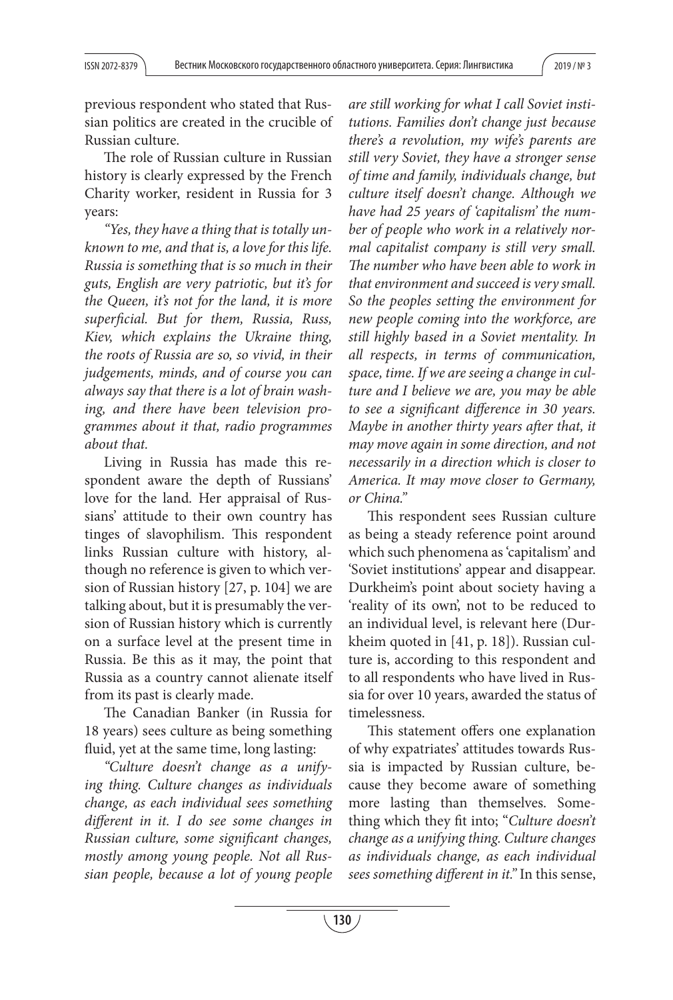previous respondent who stated that Russian politics are created in the crucible of Russian culture.

The role of Russian culture in Russian history is clearly expressed by the French Charity worker, resident in Russia for 3 years:

"Yes, they have a thing that is totally unknown to me, and that is, a love for this life. Russia is something that is so much in their guts, English are very patriotic, but it's for the Queen, it's not for the land, it is more superficial. But for them, Russia, Russ, Kiev, which explains the Ukraine thing, the roots of Russia are so, so vivid, in their judgements, minds, and of course you can always say that there is a lot of brain washing, and there have been television programmes about it that, radio programmes about that.

Living in Russia has made this respondent aware the depth of Russians' love for the land. Her appraisal of Russians' attitude to their own country has tinges of slavophilism. This respondent links Russian culture with history, although no reference is given to which version of Russian history [27, p. 104] we are talking about, but it is presumably the version of Russian history which is currently on a surface level at the present time in Russia. Be this as it may, the point that Russia as a country cannot alienate itself from its past is clearly made.

The Canadian Banker (in Russia for 18 years) sees culture as being something fluid, yet at the same time, long lasting:

"Culture doesn't change as a unifying thing. Culture changes as individuals change, as each individual sees something different in it. I do see some changes in Russian culture, some significant changes, mostly among young people. Not all Russian people, because a lot of young people

are still working for what I call Soviet institutions. Families don't change just because there's a revolution, my wife's parents are still very Soviet, they have a stronger sense of time and family, individuals change, but culture itself doesn't change. Although we have had 25 years of 'capitalism' the number of people who work in a relatively normal capitalist company is still very small. The number who have been able to work in that environment and succeed is very small. So the peoples setting the environment for new people coming into the workforce, are still highly based in a Soviet mentality. In all respects, in terms of communication, space, time. If we are seeing a change in culture and I believe we are, you may be able to see a significant difference in 30 years. Maybe in another thirty years after that, it may move again in some direction, and not necessarily in a direction which is closer to America. It may move closer to Germany, or China."

This respondent sees Russian culture as being a steady reference point around which such phenomena as 'capitalism' and 'Soviet institutions' appear and disappear. Durkheim's point about society having a 'reality of its own', not to be reduced to an individual level, is relevant here (Durkheim quoted in [41, p. 18]). Russian culture is, according to this respondent and to all respondents who have lived in Russia for over 10 years, awarded the status of timelessness.

This statement offers one explanation of why expatriates' attitudes towards Russia is impacted by Russian culture, because they become aware of something more lasting than themselves. Something which they fit into; "Culture doesn't change as a unifying thing. Culture changes as individuals change, as each individual sees something different in it." In this sense,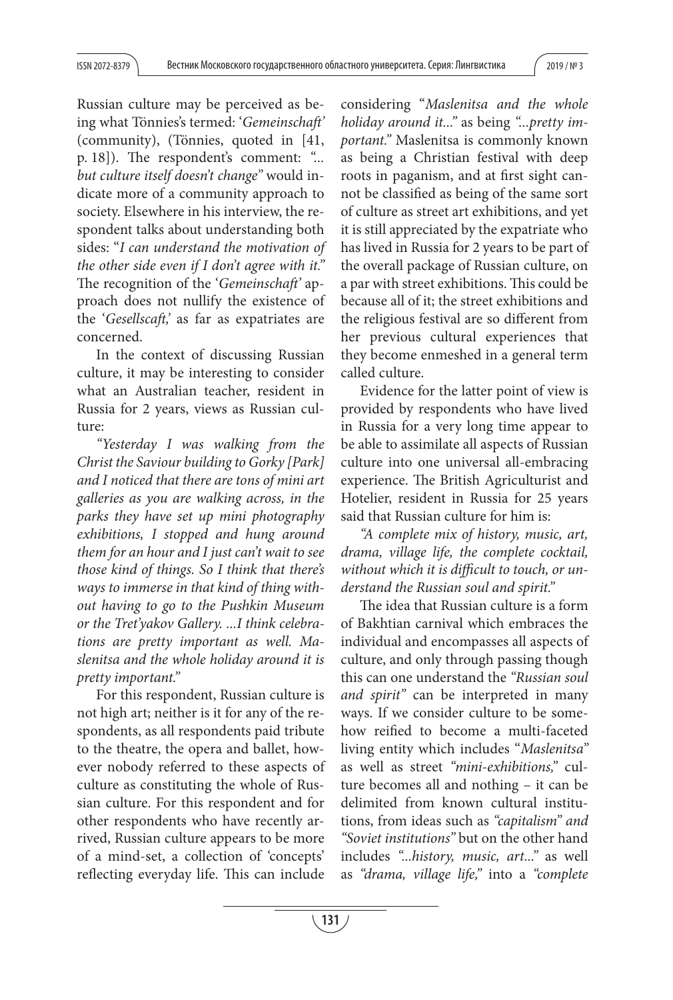Russian culture may be perceived as being what Tönnies's termed: 'Gemeinschaft' (community), (Tönnies, quoted in  $[41, 4]$ p. 18]). The respondent's comment: "... but culture itself doesn't change" would indicate more of a community approach to society. Elsewhere in his interview, the respondent talks about understanding both sides: "I can understand the motivation of the other side even if I don't agree with it." The recognition of the 'Gemeinschaft' approach does not nullify the existence of the 'Gesellscaft,' as far as expatriates are concerned.

In the context of discussing Russian culture, it may be interesting to consider what an Australian teacher, resident in Russia for 2 years, views as Russian culture:

"Yesterday I was walking from the Christ the Saviour building to Gorky [Park] and I noticed that there are tons of mini art galleries as you are walking across, in the parks they have set up mini photography exhibitions, I stopped and hung around them for an hour and I just can't wait to see those kind of things. So I think that there's ways to immerse in that kind of thing without having to go to the Pushkin Museum or the Tret'yakov Gallery. ...I think celebrations are pretty important as well. Maslenitsa and the whole holiday around it is pretty important."

For this respondent, Russian culture is not high art; neither is it for any of the respondents, as all respondents paid tribute to the theatre, the opera and ballet, however nobody referred to these aspects of culture as constituting the whole of Russian culture. For this respondent and for other respondents who have recently arrived, Russian culture appears to be more of a mind-set, a collection of 'concepts' reflecting everyday life. This can include considering "Maslenitsa and the whole holiday around it..." as being "...pretty important." Maslenitsa is commonly known as being a Christian festival with deep roots in paganism, and at first sight cannot be classified as being of the same sort of culture as street art exhibitions, and yet it is still appreciated by the expatriate who has lived in Russia for 2 years to be part of the overall package of Russian culture, on a par with street exhibitions. This could be because all of it; the street exhibitions and the religious festival are so different from her previous cultural experiences that they become enmeshed in a general term called culture.

Evidence for the latter point of view is provided by respondents who have lived in Russia for a very long time appear to be able to assimilate all aspects of Russian culture into one universal all-embracing experience. The British Agriculturist and Hotelier, resident in Russia for 25 years said that Russian culture for him is:

"A complete mix of history, music, art, drama, village life, the complete cocktail, without which it is difficult to touch, or understand the Russian soul and spirit."

The idea that Russian culture is a form of Bakhtian carnival which embraces the individual and encompasses all aspects of culture, and only through passing though this can one understand the "Russian soul and spirit" can be interpreted in many ways. If we consider culture to be somehow reified to become a multi-faceted living entity which includes "Maslenitsa" as well as street "mini-exhibitions," culture becomes all and nothing – it can be delimited from known cultural institutions, from ideas such as "capitalism" and "Soviet institutions" but on the other hand includes "...history, music, art..." as well as "drama, village life," into a "complete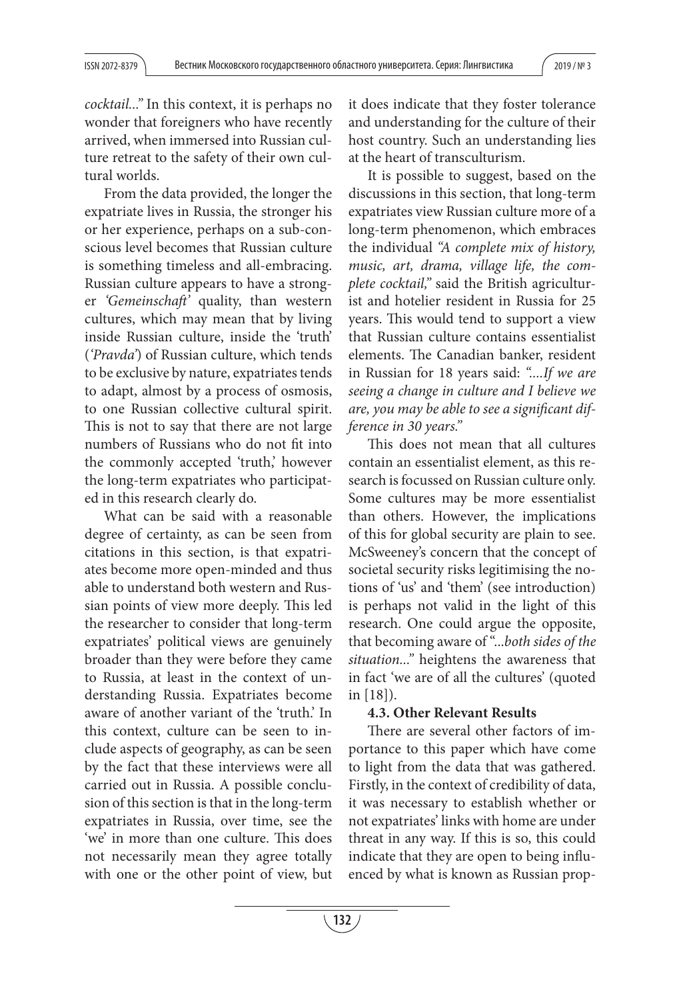cocktail..." In this context, it is perhaps no wonder that foreigners who have recently arrived, when immersed into Russian culture retreat to the safety of their own cultural worlds.

From the data provided, the longer the expatriate lives in Russia, the stronger his or her experience, perhaps on a sub-conscious level becomes that Russian culture is something timeless and all-embracing. Russian culture appears to have a stronger 'Gemeinschaft' quality, than western cultures, which may mean that by living inside Russian culture, inside the 'truth' ('Pravda') of Russian culture, which tends to be exclusive by nature, expatriates tends to adapt, almost by a process of osmosis, to one Russian collective cultural spirit. This is not to say that there are not large numbers of Russians who do not fit into the commonly accepted 'truth,' however the long-term expatriates who participated in this research clearly do.

What can be said with a reasonable degree of certainty, as can be seen from citations in this section, is that expatriates become more open-minded and thus able to understand both western and Russian points of view more deeply. This led the researcher to consider that long-term expatriates' political views are genuinely broader than they were before they came to Russia, at least in the context of understanding Russia. Expatriates become aware of another variant of the 'truth.' In this context, culture can be seen to include aspects of geography, as can be seen by the fact that these interviews were all carried out in Russia. A possible conclusion of this section is that in the long-term expatriates in Russia, over time, see the 'we' in more than one culture. This does not necessarily mean they agree totally with one or the other point of view, but

it does indicate that they foster tolerance and understanding for the culture of their host country. Such an understanding lies at the heart of transculturism.

It is possible to suggest, based on the discussions in this section, that long-term expatriates view Russian culture more of a long-term phenomenon, which embraces the individual "A complete mix of history, music, art, drama, village life, the complete cocktail," said the British agriculturist and hotelier resident in Russia for 25 years. This would tend to support a view that Russian culture contains essentialist elements. The Canadian banker, resident in Russian for 18 years said: "....If we are seeing a change in culture and I believe we are, you may be able to see a significant difference in 30 years."

This does not mean that all cultures contain an essentialist element, as this research is focussed on Russian culture only. Some cultures may be more essentialist than others. However, the implications of this for global security are plain to see. McSweeney's concern that the concept of societal security risks legitimising the notions of 'us' and 'them' (see introduction) is perhaps not valid in the light of this research. One could argue the opposite, that becoming aware of "...both sides of the situation..." heightens the awareness that in fact 'we are of all the cultures' (quoted in [18]).

### **4.3. Other Relevant Results**

There are several other factors of importance to this paper which have come to light from the data that was gathered. Firstly, in the context of credibility of data, it was necessary to establish whether or not expatriates' links with home are under threat in any way. If this is so, this could indicate that they are open to being influenced by what is known as Russian prop-

**132**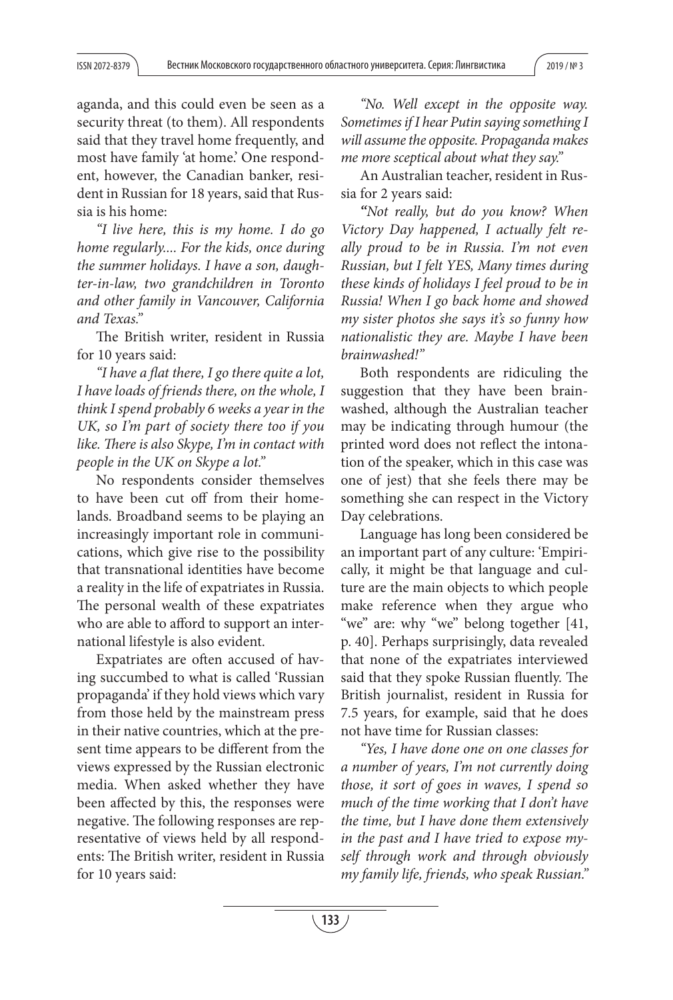aganda, and this could even be seen as a security threat (to them). All respondents said that they travel home frequently, and most have family 'at home.' One respondent, however, the Canadian banker, resident in Russian for 18 years, said that Russia is his home:

"I live here, this is my home. I do go home regularly.... For the kids, once during the summer holidays. I have a son, daughter-in-law, two grandchildren in Toronto and other family in Vancouver, California and Texas."

The British writer, resident in Russia for 10 years said:

"I have a flat there, I go there quite a lot, I have loads of friends there, on the whole, I think I spend probably 6 weeks a year in the UK, so I'm part of society there too if you like. There is also Skype, I'm in contact with people in the UK on Skype a lot."

No respondents consider themselves to have been cut off from their homelands. Broadband seems to be playing an increasingly important role in communications, which give rise to the possibility that transnational identities have become a reality in the life of expatriates in Russia. The personal wealth of these expatriates who are able to afford to support an international lifestyle is also evident.

Expatriates are often accused of having succumbed to what is called 'Russian propaganda' if they hold views which vary from those held by the mainstream press in their native countries, which at the present time appears to be different from the views expressed by the Russian electronic media. When asked whether they have been affected by this, the responses were negative. The following responses are representative of views held by all respondents: The British writer, resident in Russia for 10 years said:

"No. Well except in the opposite way. Sometimes if I hear Putin saying something I will assume the opposite. Propaganda makes me more sceptical about what they say."

An Australian teacher, resident in Russia for 2 years said:

*"*Not really, but do you know? When Victory Day happened, I actually felt really proud to be in Russia. I'm not even Russian, but I felt YES, Many times during these kinds of holidays I feel proud to be in Russia! When I go back home and showed my sister photos she says it's so funny how nationalistic they are. Maybe I have been brainwashed!"

Both respondents are ridiculing the suggestion that they have been brainwashed, although the Australian teacher may be indicating through humour (the printed word does not reflect the intonation of the speaker, which in this case was one of jest) that she feels there may be something she can respect in the Victory Day celebrations.

Language has long been considered be an important part of any culture: 'Empirically, it might be that language and culture are the main objects to which people make reference when they argue who "we" are: why "we" belong together [41, p. 40]. Perhaps surprisingly, data revealed that none of the expatriates interviewed said that they spoke Russian fluently. The British journalist, resident in Russia for 7.5 years, for example, said that he does not have time for Russian classes:

"Yes, I have done one on one classes for a number of years, I'm not currently doing those, it sort of goes in waves, I spend so much of the time working that I don't have the time, but I have done them extensively in the past and I have tried to expose myself through work and through obviously my family life, friends, who speak Russian."

**133**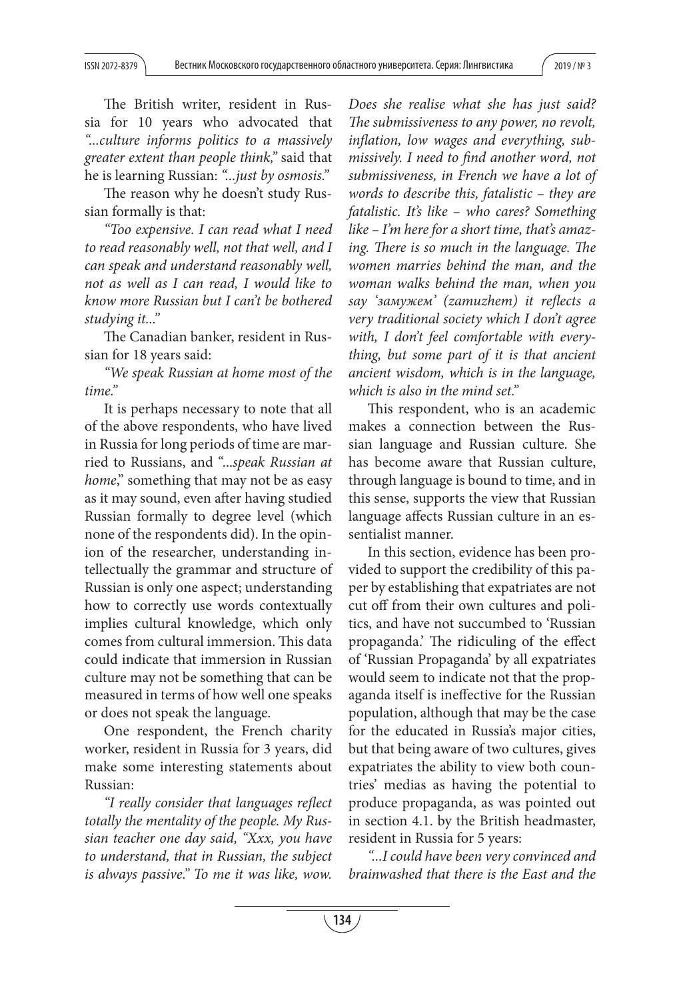The British writer, resident in Russia for 10 years who advocated that "...culture informs politics to a massively greater extent than people think," said that he is learning Russian: "...just by osmosis."

The reason why he doesn't study Russian formally is that:

"Too expensive. I can read what I need to read reasonably well, not that well, and I can speak and understand reasonably well, not as well as I can read, I would like to know more Russian but I can't be bothered studying it..."

The Canadian banker, resident in Russian for 18 years said:

"We speak Russian at home most of the time."

It is perhaps necessary to note that all of the above respondents, who have lived in Russia for long periods of time are married to Russians, and "...speak Russian at home," something that may not be as easy as it may sound, even after having studied Russian formally to degree level (which none of the respondents did). In the opinion of the researcher, understanding intellectually the grammar and structure of Russian is only one aspect; understanding how to correctly use words contextually implies cultural knowledge, which only comes from cultural immersion. This data could indicate that immersion in Russian culture may not be something that can be measured in terms of how well one speaks or does not speak the language.

One respondent, the French charity worker, resident in Russia for 3 years, did make some interesting statements about Russian:

"I really consider that languages reflect totally the mentality of the people. My Russian teacher one day said, "Xxx, you have to understand, that in Russian, the subject is always passive." To me it was like, wow.

Does she realise what she has just said? The submissiveness to any power, no revolt, inflation, low wages and everything, submissively. I need to find another word, not submissiveness, in French we have a lot of words to describe this, fatalistic – they are fatalistic. It's like – who cares? Something like – I'm here for a short time, that's amazing. There is so much in the language. The women marries behind the man, and the woman walks behind the man, when you say 'замужем' (zamuzhem) it reflects a very traditional society which I don't agree with, I don't feel comfortable with everything, but some part of it is that ancient ancient wisdom, which is in the language, which is also in the mind set."

This respondent, who is an academic makes a connection between the Russian language and Russian culture. She has become aware that Russian culture, through language is bound to time, and in this sense, supports the view that Russian language affects Russian culture in an essentialist manner.

In this section, evidence has been provided to support the credibility of this paper by establishing that expatriates are not cut off from their own cultures and politics, and have not succumbed to 'Russian propaganda.' The ridiculing of the effect of 'Russian Propaganda' by all expatriates would seem to indicate not that the propaganda itself is ineffective for the Russian population, although that may be the case for the educated in Russia's major cities, but that being aware of two cultures, gives expatriates the ability to view both countries' medias as having the potential to produce propaganda, as was pointed out in section 4.1. by the British headmaster, resident in Russia for 5 years:

"...I could have been very convinced and brainwashed that there is the East and the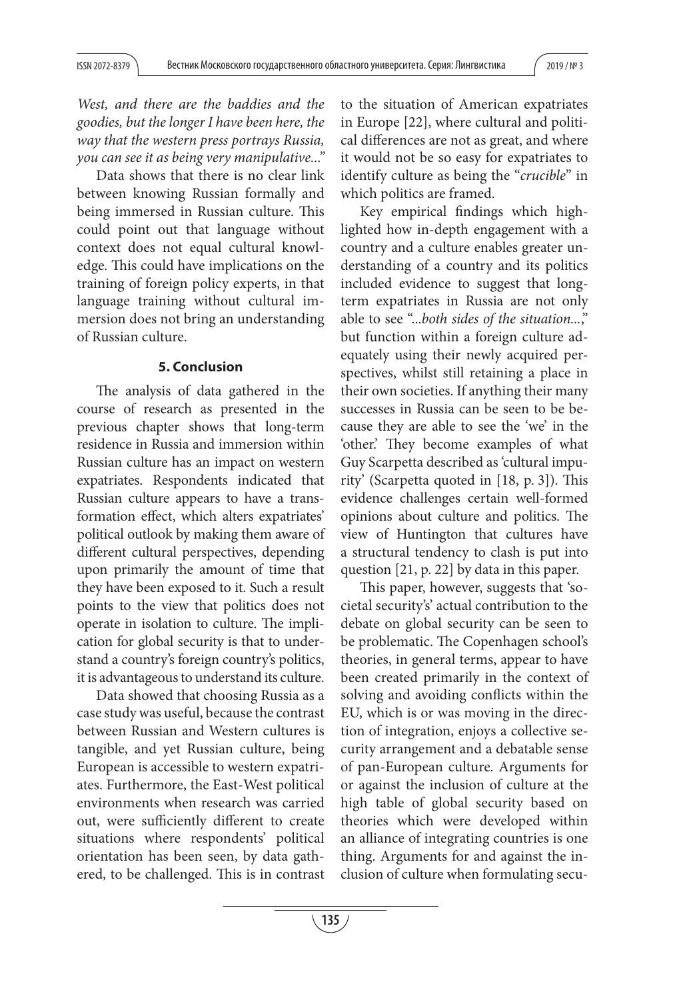West, and there are the baddies and the goodies, but the longer I have been here, the way that the western press portrays Russia, you can see it as being very manipulative..."

Data shows that there is no clear link between knowing Russian formally and being immersed in Russian culture. This could point out that language without context does not equal cultural knowledge. This could have implications on the training of foreign policy experts, in that language training without cultural immersion does not bring an understanding of Russian culture.

## **5. Conclusion**

The analysis of data gathered in the course of research as presented in the previous chapter shows that long-term residence in Russia and immersion within Russian culture has an impact on western expatriates. Respondents indicated that Russian culture appears to have a transformation effect, which alters expatriates' political outlook by making them aware of different cultural perspectives, depending upon primarily the amount of time that they have been exposed to it. Such a result points to the view that politics does not operate in isolation to culture. The implication for global security is that to understand a country's foreign country's politics, it is advantageous to understand its culture.

Data showed that choosing Russia as a case study was useful, because the contrast between Russian and Western cultures is tangible, and yet Russian culture, being European is accessible to western expatriates. Furthermore, the East-West political environments when research was carried out, were sufficiently different to create situations where respondents' political orientation has been seen, by data gathered, to be challenged. This is in contrast to the situation of American expatriates in Europe [22], where cultural and political differences are not as great, and where it would not be so easy for expatriates to identify culture as being the "*crucible*" in which politics are framed.

Key empirical findings which highlighted how in-depth engagement with a country and a culture enables greater understanding of a country and its politics included evidence to suggest that longterm expatriates in Russia are not only able to see "...both sides of the situation...," but function within a foreign culture adequately using their newly acquired perspectives, whilst still retaining a place in their own societies. If anything their many successes in Russia can be seen to be because they are able to see the 'we' in the 'other.' They become examples of what Guy Scarpetta described as 'cultural impurity' (Scarpetta quoted in [18, p. 3]). This evidence challenges certain well-formed opinions about culture and politics. The view of Huntington that cultures have a structural tendency to clash is put into question [21, p. 22] by data in this paper.

This paper, however, suggests that 'societal security's' actual contribution to the debate on global security can be seen to be problematic. The Copenhagen school's theories, in general terms, appear to have been created primarily in the context of solving and avoiding conflicts within the EU, which is or was moving in the direction of integration, enjoys a collective security arrangement and a debatable sense of pan-European culture. Arguments for or against the inclusion of culture at the high table of global security based on theories which were developed within an alliance of integrating countries is one thing. Arguments for and against the inclusion of culture when formulating secu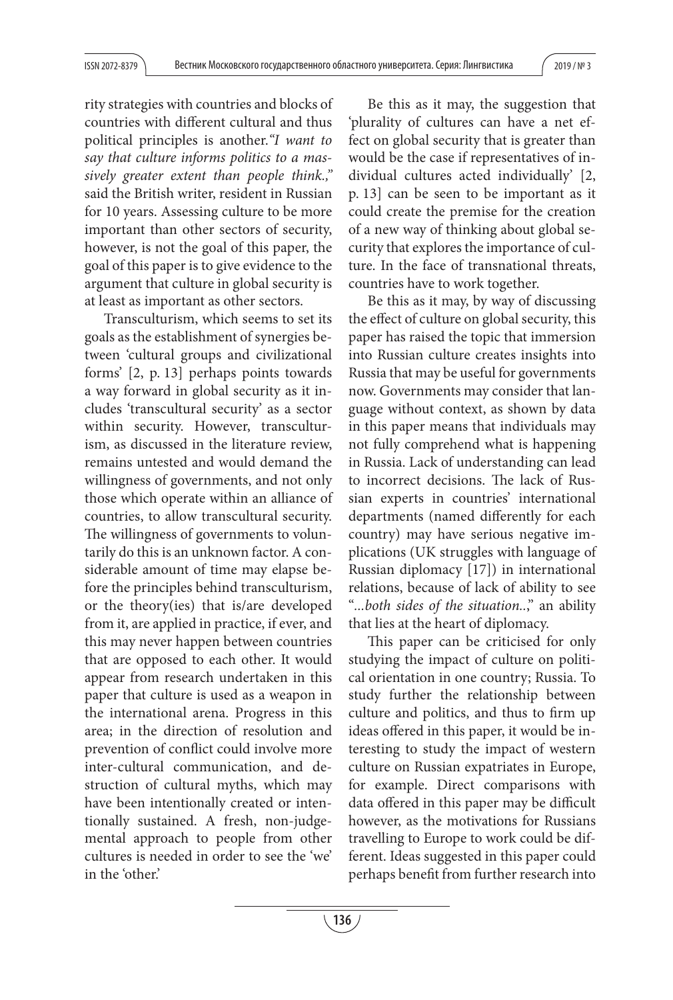rity strategies with countries and blocks of countries with different cultural and thus political principles is another."I want to say that culture informs politics to a massively greater extent than people think.," said the British writer, resident in Russian for 10 years. Assessing culture to be more important than other sectors of security, however, is not the goal of this paper, the goal of this paper is to give evidence to the argument that culture in global security is at least as important as other sectors.

Transculturism, which seems to set its goals as the establishment of synergies between 'cultural groups and civilizational forms' [2, p. 13] perhaps points towards a way forward in global security as it includes 'transcultural security' as a sector within security. However, transculturism, as discussed in the literature review, remains untested and would demand the willingness of governments, and not only those which operate within an alliance of countries, to allow transcultural security. The willingness of governments to voluntarily do this is an unknown factor. A considerable amount of time may elapse before the principles behind transculturism, or the theory(ies) that is/are developed from it, are applied in practice, if ever, and this may never happen between countries that are opposed to each other. It would appear from research undertaken in this paper that culture is used as a weapon in the international arena. Progress in this area; in the direction of resolution and prevention of conflict could involve more inter-cultural communication, and destruction of cultural myths, which may have been intentionally created or intentionally sustained. A fresh, non-judgemental approach to people from other cultures is needed in order to see the 'we' in the 'other.'

Be this as it may, the suggestion that 'plurality of cultures can have a net effect on global security that is greater than would be the case if representatives of individual cultures acted individually' [2, p. 13] can be seen to be important as it could create the premise for the creation of a new way of thinking about global security that explores the importance of culture. In the face of transnational threats, countries have to work together.

Be this as it may, by way of discussing the effect of culture on global security, this paper has raised the topic that immersion into Russian culture creates insights into Russia that may be useful for governments now. Governments may consider that language without context, as shown by data in this paper means that individuals may not fully comprehend what is happening in Russia. Lack of understanding can lead to incorrect decisions. The lack of Russian experts in countries' international departments (named differently for each country) may have serious negative implications (UK struggles with language of Russian diplomacy [17]) in international relations, because of lack of ability to see "...both sides of the situation..," an ability that lies at the heart of diplomacy.

This paper can be criticised for only studying the impact of culture on political orientation in one country; Russia. To study further the relationship between culture and politics, and thus to firm up ideas offered in this paper, it would be interesting to study the impact of western culture on Russian expatriates in Europe, for example. Direct comparisons with data offered in this paper may be difficult however, as the motivations for Russians travelling to Europe to work could be different. Ideas suggested in this paper could perhaps benefit from further research into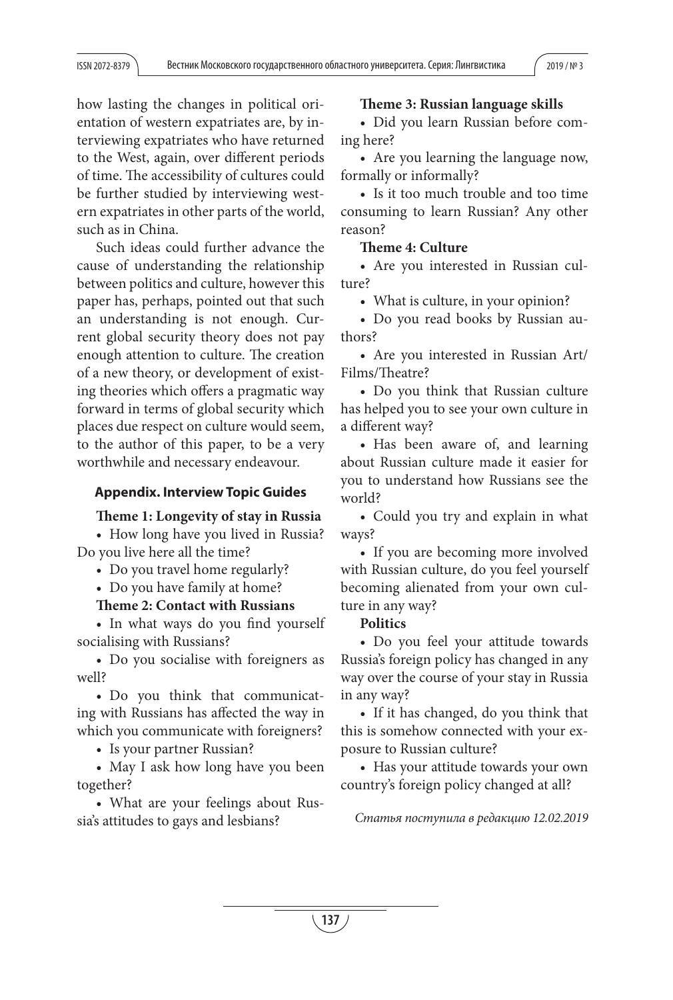how lasting the changes in political orientation of western expatriates are, by interviewing expatriates who have returned to the West, again, over different periods of time. The accessibility of cultures could be further studied by interviewing western expatriates in other parts of the world, such as in China.

Such ideas could further advance the cause of understanding the relationship between politics and culture, however this paper has, perhaps, pointed out that such an understanding is not enough. Current global security theory does not pay enough attention to culture. The creation of a new theory, or development of existing theories which offers a pragmatic way forward in terms of global security which places due respect on culture would seem, to the author of this paper, to be a very worthwhile and necessary endeavour.

## **Appendix. Interview Topic Guides**

#### **Theme 1: Longevity of stay in Russia**

• How long have you lived in Russia? Do you live here all the time?

• Do you travel home regularly?

• Do you have family at home?

### **Theme 2: Contact with Russians**

• In what ways do you find yourself socialising with Russians?

• Do you socialise with foreigners as well?

• Do you think that communicating with Russians has affected the way in which you communicate with foreigners?

• Is your partner Russian?

• May I ask how long have you been together?

• What are your feelings about Russia's attitudes to gays and lesbians?

## **Theme 3: Russian language skills**

• Did you learn Russian before coming here?

• Are you learning the language now, formally or informally?

• Is it too much trouble and too time consuming to learn Russian? Any other reason?

## **Theme 4: Culture**

• Are you interested in Russian culture?

• What is culture, in your opinion?

• Do you read books by Russian authors?

• Are you interested in Russian Art/ Films/Theatre?

• Do you think that Russian culture has helped you to see your own culture in a different way?

• Has been aware of, and learning about Russian culture made it easier for you to understand how Russians see the world?

• Could you try and explain in what ways?

• If you are becoming more involved with Russian culture, do you feel yourself becoming alienated from your own culture in any way?

**Politics** 

• Do you feel your attitude towards Russia's foreign policy has changed in any way over the course of your stay in Russia in any way?

• If it has changed, do you think that this is somehow connected with your exposure to Russian culture?

• Has your attitude towards your own country's foreign policy changed at all?

Статья поступила в редакцию 12.02.2019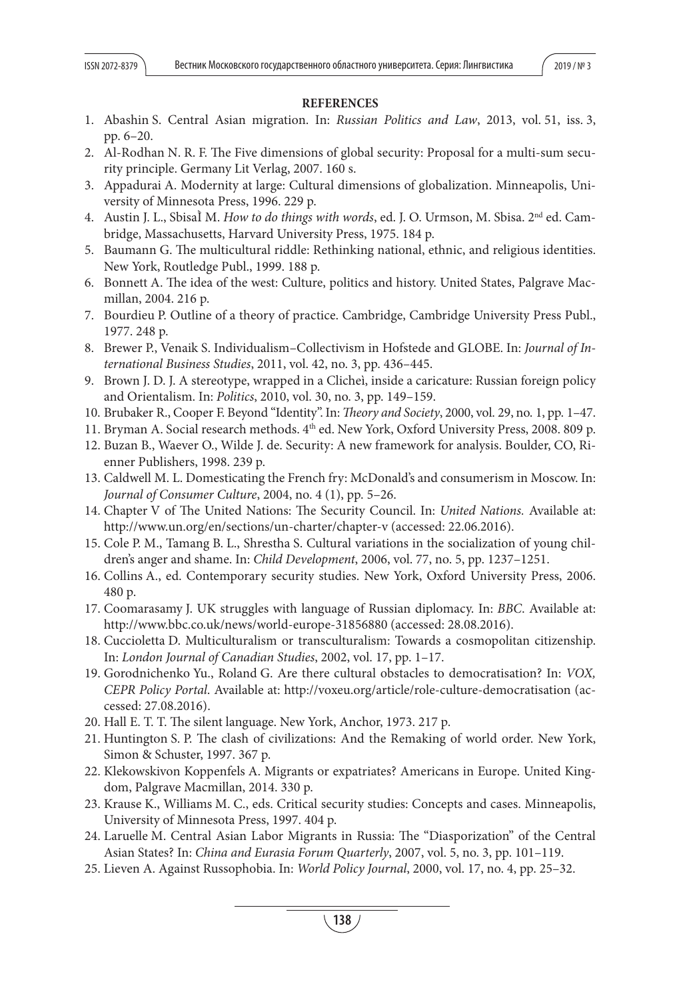## **REFERENCES**

- 1. Abashin S. Central Asian migration. In: Russian Politics and Law, 2013, vol. 51, iss. 3, pp. 6–20.
- 2. Al-Rodhan N. R. F. The Five dimensions of global security: Proposal for a multi-sum security principle. Germany Lit Verlag, 2007. 160 s.
- 3. Appadurai A. Modernity at large: Cultural dimensions of globalization. Minneapolis, University of Minnesota Press, 1996. 229 p.
- 4. Austin J. L., Sbisal M. How to do things with words, ed. J. O. Urmson, M. Sbisa. 2<sup>nd</sup> ed. Cambridge, Massachusetts, Harvard University Press, 1975. 184 p.
- 5. Baumann G. The multicultural riddle: Rethinking national, ethnic, and religious identities. New York, Routledge Publ., 1999. 188 p.
- 6. Bonnett A. The idea of the west: Culture, politics and history. United States, Palgrave Macmillan, 2004. 216 p.
- 7. Bourdieu P. Outline of a theory of practice. Cambridge, Cambridge University Press Publ., 1977. 248 p.
- 8. Brewer P., Venaik S. Individualism–Collectivism in Hofstede and GLOBE. In: Journal of International Business Studies, 2011, vol. 42, no. 3, pp. 436–445.
- 9. Brown J. D. J. A stereotype, wrapped in a Clicheì, inside a caricature: Russian foreign policy and Orientalism. In: Politics, 2010, vol. 30, no. 3, pp. 149–159.
- 10. Brubaker R., Cooper F. Beyond "Identity". In: *Theory and Society*, 2000, vol. 29, no. 1, pp. 1–47.
- 11. Bryman A. Social research methods. 4th ed. New York, Oxford University Press, 2008. 809 p.
- 12. Buzan B., Waever O., Wilde J. de. Security: A new framework for analysis. Boulder, CO, Rienner Publishers, 1998. 239 p.
- 13. Caldwell M. L. Domesticating the French fry: McDonald's and consumerism in Moscow. In: Journal of Consumer Culture, 2004, no. 4 (1), pp. 5–26.
- 14. Chapter V of The United Nations: The Security Council. In: United Nations. Available at: http://www.un.org/en/sections/un-charter/chapter-v (accessed: 22.06.2016).
- 15. Cole P. M., Tamang B. L., Shrestha S. Cultural variations in the socialization of young children's anger and shame. In: Child Development, 2006, vol. 77, no. 5, pp. 1237–1251.
- 16. Collins A., ed. Contemporary security studies. New York, Oxford University Press, 2006. 480 p.
- 17. Coomarasamy J. UK struggles with language of Russian diplomacy. In: BBC. Available at: http://www.bbc.co.uk/news/world-europe-31856880 (accessed: 28.08.2016).
- 18. Cuccioletta D. Multiculturalism or transculturalism: Towards a cosmopolitan citizenship. In: London Journal of Canadian Studies, 2002, vol. 17, pp. 1–17.
- 19. Gorodnichenko Yu., Roland G. Are there cultural obstacles to democratisation? In: VOX, CEPR Policy Portal. Available at: http://voxeu.org/article/role-culture-democratisation (accessed: 27.08.2016).
- 20. Hall E. T. T. The silent language. New York, Anchor, 1973. 217 p.
- 21. Huntington S. P. The clash of civilizations: And the Remaking of world order. New York, Simon & Schuster, 1997. 367 p.
- 22. Klekowskivon Koppenfels A. Migrants or expatriates? Americans in Europe. United Kingdom, Palgrave Macmillan, 2014. 330 p.
- 23. Krause K., Williams M. C., eds. Critical security studies: Concepts and cases. Minneapolis, University of Minnesota Press, 1997. 404 p.
- 24. Laruelle M. Central Asian Labor Migrants in Russia: The "Diasporization" of the Central Asian States? In: China and Eurasia Forum Quarterly, 2007, vol. 5, no. 3, pp. 101–119.
- 25. Lieven A. Against Russophobia. In: World Policy Journal, 2000, vol. 17, no. 4, pp. 25–32.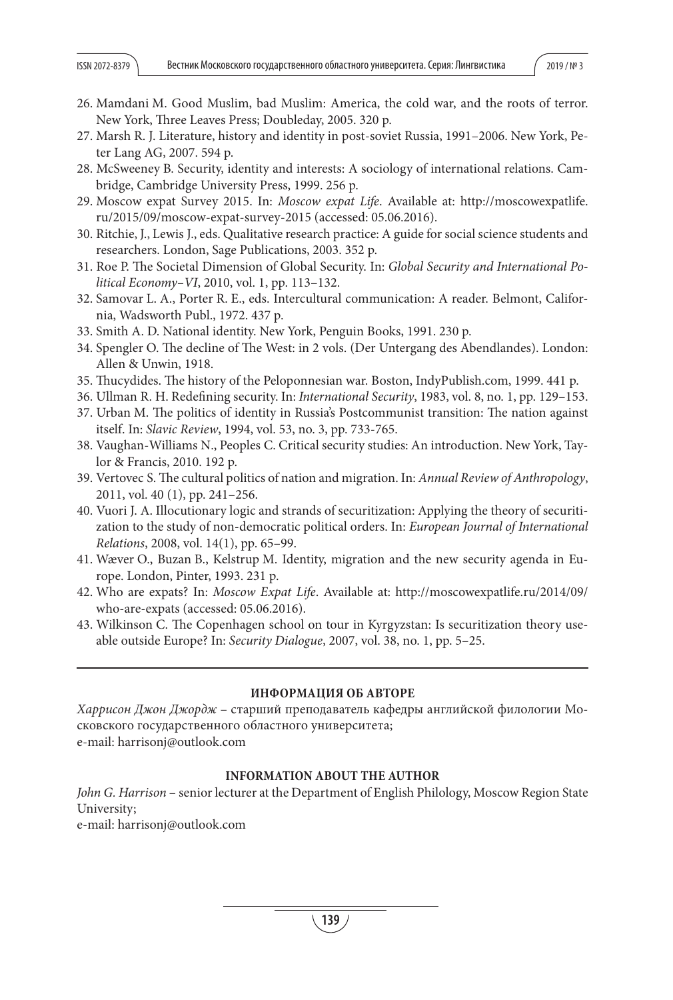- 26. Mamdani M. Good Muslim, bad Muslim: America, the cold war, and the roots of terror. New York, Three Leaves Press; Doubleday, 2005. 320 p.
- 27. Marsh R. J. Literature, history and identity in post-soviet Russia, 1991–2006. New York, Peter Lang AG, 2007. 594 p.
- 28. McSweeney B. Security, identity and interests: A sociology of international relations. Cambridge, Cambridge University Press, 1999. 256 p.
- 29. Moscow expat Survey 2015. In: Moscow expat Life. Available at: http://moscowexpatlife. ru/2015/09/moscow-expat-survey-2015 (accessed: 05.06.2016).
- 30. Ritchie, J., Lewis J., eds. Qualitative research practice: A guide for social science students and researchers. London, Sage Publications, 2003. 352 p.
- 31. Roe P. The Societal Dimension of Global Security. In: Global Security and International Political Economy–VI, 2010, vol. 1, pp. 113–132.
- 32. Samovar L. A., Porter R. E., eds. Intercultural communication: A reader. Belmont, California, Wadsworth Publ., 1972. 437 p.
- 33. Smith A. D. National identity. New York, Penguin Books, 1991. 230 p.
- 34. Spengler O. The decline of The West: in 2 vols. (Der Untergang des Abendlandes). London: Allen & Unwin, 1918.
- 35. Thucydides. The history of the Peloponnesian war. Boston, IndyPublish.com, 1999. 441 p.
- 36. Ullman R. H. Redefining security. In: *International Security*, 1983, vol. 8, no. 1, pp. 129–153.
- 37. Urban M. The politics of identity in Russia's Postcommunist transition: The nation against itself. In: Slavic Review, 1994, vol. 53, no. 3, pp. 733-765.
- 38. Vaughan-Williams N., Peoples C. Critical security studies: An introduction. New York, Taylor & Francis, 2010. 192 p.
- 39. Vertovec S. The cultural politics of nation and migration. In: Annual Review of Anthropology, 2011, vol. 40 (1), pp. 241–256.
- 40. Vuori J. A. Illocutionary logic and strands of securitization: Applying the theory of securitization to the study of non-democratic political orders. In: European Journal of International Relations, 2008, vol. 14(1), pp. 65–99.
- 41. Wæver O., Buzan B., Kelstrup M. Identity, migration and the new security agenda in Europe. London, Pinter, 1993. 231 p.
- 42. Who are expats? In: Moscow Expat Life. Available at: http://moscowexpatlife.ru/2014/09/ who-are-expats (accessed: 05.06.2016).
- 43. Wilkinson C. The Copenhagen school on tour in Kyrgyzstan: Is securitization theory useable outside Europe? In: Security Dialogue, 2007, vol. 38, no. 1, pp. 5–25.

### **ИНФОРМАЦИЯ ОБ АВТОРЕ**

Харрисон Джон Джордж – старший преподаватель кафедры английской филологии Московского государственного областного университета; e-mail: harrisonj@outlook.com

## **INFORMATION ABOUT THE AUTHOR**

John G. Harrison – senior lecturer at the Department of English Philology, Moscow Region State University;

e-mail: harrisonj@outlook.com

**139**